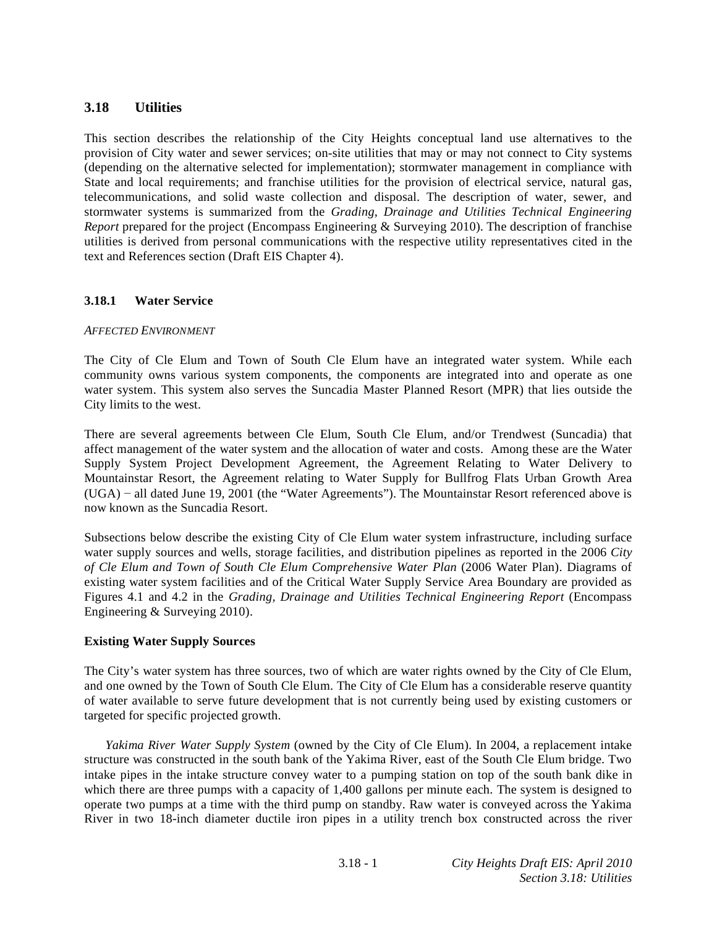# **3.18 Utilities**

This section describes the relationship of the City Heights conceptual land use alternatives to the provision of City water and sewer services; on-site utilities that may or may not connect to City systems (depending on the alternative selected for implementation); stormwater management in compliance with State and local requirements; and franchise utilities for the provision of electrical service, natural gas, telecommunications, and solid waste collection and disposal. The description of water, sewer, and stormwater systems is summarized from the *Grading, Drainage and Utilities Technical Engineering Report* prepared for the project (Encompass Engineering & Surveying 2010). The description of franchise utilities is derived from personal communications with the respective utility representatives cited in the text and References section (Draft EIS Chapter 4).

# **3.18.1 Water Service**

# *AFFECTED ENVIRONMENT*

The City of Cle Elum and Town of South Cle Elum have an integrated water system. While each community owns various system components, the components are integrated into and operate as one water system. This system also serves the Suncadia Master Planned Resort (MPR) that lies outside the City limits to the west.

There are several agreements between Cle Elum, South Cle Elum, and/or Trendwest (Suncadia) that affect management of the water system and the allocation of water and costs. Among these are the Water Supply System Project Development Agreement, the Agreement Relating to Water Delivery to Mountainstar Resort, the Agreement relating to Water Supply for Bullfrog Flats Urban Growth Area (UGA) - all dated June 19, 2001 (the "Water Agreements"). The Mountainstar Resort referenced above is now known as the Suncadia Resort.

Subsections below describe the existing City of Cle Elum water system infrastructure, including surface water supply sources and wells, storage facilities, and distribution pipelines as reported in the 2006 *City of Cle Elum and Town of South Cle Elum Comprehensive Water Plan* (2006 Water Plan). Diagrams of existing water system facilities and of the Critical Water Supply Service Area Boundary are provided as Figures 4.1 and 4.2 in the *Grading, Drainage and Utilities Technical Engineering Report* (Encompass Engineering & Surveying 2010).

# **Existing Water Supply Sources**

The City's water system has three sources, two of which are water rights owned by the City of Cle Elum, and one owned by the Town of South Cle Elum. The City of Cle Elum has a considerable reserve quantity of water available to serve future development that is not currently being used by existing customers or targeted for specific projected growth.

*Yakima River Water Supply System* (owned by the City of Cle Elum). In 2004, a replacement intake structure was constructed in the south bank of the Yakima River, east of the South Cle Elum bridge. Two intake pipes in the intake structure convey water to a pumping station on top of the south bank dike in which there are three pumps with a capacity of 1,400 gallons per minute each. The system is designed to operate two pumps at a time with the third pump on standby. Raw water is conveyed across the Yakima River in two 18-inch diameter ductile iron pipes in a utility trench box constructed across the river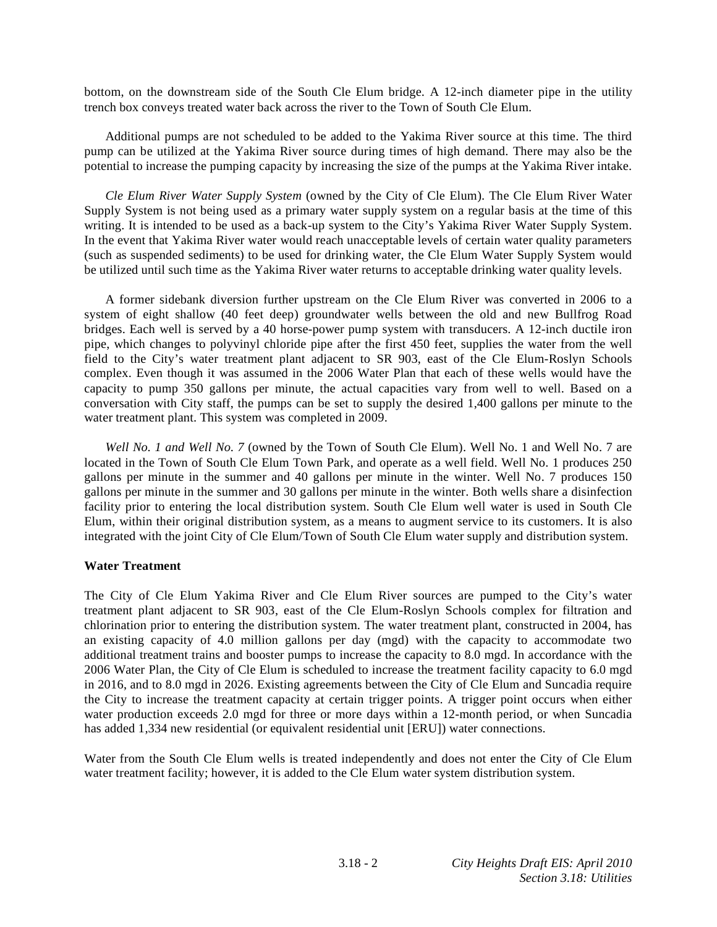bottom, on the downstream side of the South Cle Elum bridge. A 12-inch diameter pipe in the utility trench box conveys treated water back across the river to the Town of South Cle Elum.

 Additional pumps are not scheduled to be added to the Yakima River source at this time. The third pump can be utilized at the Yakima River source during times of high demand. There may also be the potential to increase the pumping capacity by increasing the size of the pumps at the Yakima River intake.

*Cle Elum River Water Supply System* (owned by the City of Cle Elum). The Cle Elum River Water Supply System is not being used as a primary water supply system on a regular basis at the time of this writing. It is intended to be used as a back-up system to the City's Yakima River Water Supply System. In the event that Yakima River water would reach unacceptable levels of certain water quality parameters (such as suspended sediments) to be used for drinking water, the Cle Elum Water Supply System would be utilized until such time as the Yakima River water returns to acceptable drinking water quality levels.

 A former sidebank diversion further upstream on the Cle Elum River was converted in 2006 to a system of eight shallow (40 feet deep) groundwater wells between the old and new Bullfrog Road bridges. Each well is served by a 40 horse-power pump system with transducers. A 12-inch ductile iron pipe, which changes to polyvinyl chloride pipe after the first 450 feet, supplies the water from the well field to the City's water treatment plant adjacent to SR 903, east of the Cle Elum-Roslyn Schools complex. Even though it was assumed in the 2006 Water Plan that each of these wells would have the capacity to pump 350 gallons per minute, the actual capacities vary from well to well. Based on a conversation with City staff, the pumps can be set to supply the desired 1,400 gallons per minute to the water treatment plant. This system was completed in 2009.

*Well No. 1 and Well No. 7* (owned by the Town of South Cle Elum). Well No. 1 and Well No. 7 are located in the Town of South Cle Elum Town Park, and operate as a well field. Well No. 1 produces 250 gallons per minute in the summer and 40 gallons per minute in the winter. Well No. 7 produces 150 gallons per minute in the summer and 30 gallons per minute in the winter. Both wells share a disinfection facility prior to entering the local distribution system. South Cle Elum well water is used in South Cle Elum, within their original distribution system, as a means to augment service to its customers. It is also integrated with the joint City of Cle Elum/Town of South Cle Elum water supply and distribution system.

#### **Water Treatment**

The City of Cle Elum Yakima River and Cle Elum River sources are pumped to the City's water treatment plant adjacent to SR 903, east of the Cle Elum-Roslyn Schools complex for filtration and chlorination prior to entering the distribution system. The water treatment plant, constructed in 2004, has an existing capacity of 4.0 million gallons per day (mgd) with the capacity to accommodate two additional treatment trains and booster pumps to increase the capacity to 8.0 mgd. In accordance with the 2006 Water Plan, the City of Cle Elum is scheduled to increase the treatment facility capacity to 6.0 mgd in 2016, and to 8.0 mgd in 2026. Existing agreements between the City of Cle Elum and Suncadia require the City to increase the treatment capacity at certain trigger points. A trigger point occurs when either water production exceeds 2.0 mgd for three or more days within a 12-month period, or when Suncadia has added 1,334 new residential (or equivalent residential unit [ERU]) water connections.

Water from the South Cle Elum wells is treated independently and does not enter the City of Cle Elum water treatment facility; however, it is added to the Cle Elum water system distribution system.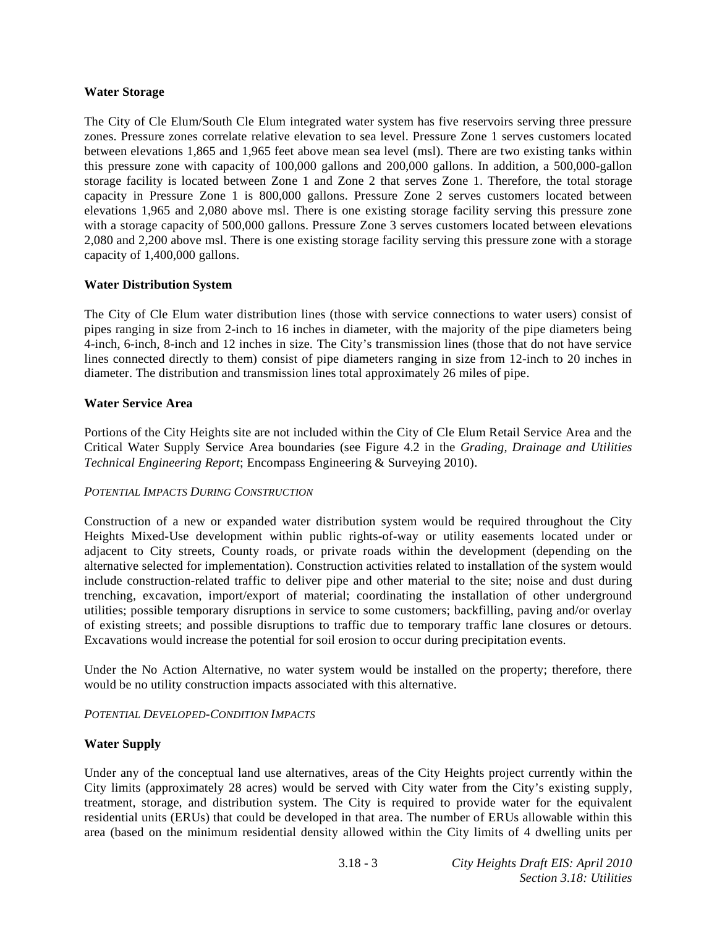# **Water Storage**

The City of Cle Elum/South Cle Elum integrated water system has five reservoirs serving three pressure zones. Pressure zones correlate relative elevation to sea level. Pressure Zone 1 serves customers located between elevations 1,865 and 1,965 feet above mean sea level (msl). There are two existing tanks within this pressure zone with capacity of 100,000 gallons and 200,000 gallons. In addition, a 500,000-gallon storage facility is located between Zone 1 and Zone 2 that serves Zone 1. Therefore, the total storage capacity in Pressure Zone 1 is 800,000 gallons. Pressure Zone 2 serves customers located between elevations 1,965 and 2,080 above msl. There is one existing storage facility serving this pressure zone with a storage capacity of 500,000 gallons. Pressure Zone 3 serves customers located between elevations 2,080 and 2,200 above msl. There is one existing storage facility serving this pressure zone with a storage capacity of 1,400,000 gallons.

# **Water Distribution System**

The City of Cle Elum water distribution lines (those with service connections to water users) consist of pipes ranging in size from 2-inch to 16 inches in diameter, with the majority of the pipe diameters being 4-inch, 6-inch, 8-inch and 12 inches in size. The City's transmission lines (those that do not have service lines connected directly to them) consist of pipe diameters ranging in size from 12-inch to 20 inches in diameter. The distribution and transmission lines total approximately 26 miles of pipe.

# **Water Service Area**

Portions of the City Heights site are not included within the City of Cle Elum Retail Service Area and the Critical Water Supply Service Area boundaries (see Figure 4.2 in the *Grading, Drainage and Utilities Technical Engineering Report*; Encompass Engineering & Surveying 2010).

# *POTENTIAL IMPACTS DURING CONSTRUCTION*

Construction of a new or expanded water distribution system would be required throughout the City Heights Mixed-Use development within public rights-of-way or utility easements located under or adjacent to City streets, County roads, or private roads within the development (depending on the alternative selected for implementation). Construction activities related to installation of the system would include construction-related traffic to deliver pipe and other material to the site; noise and dust during trenching, excavation, import/export of material; coordinating the installation of other underground utilities; possible temporary disruptions in service to some customers; backfilling, paving and/or overlay of existing streets; and possible disruptions to traffic due to temporary traffic lane closures or detours. Excavations would increase the potential for soil erosion to occur during precipitation events.

Under the No Action Alternative, no water system would be installed on the property; therefore, there would be no utility construction impacts associated with this alternative.

# *POTENTIAL DEVELOPED-CONDITION IMPACTS*

# **Water Supply**

Under any of the conceptual land use alternatives, areas of the City Heights project currently within the City limits (approximately 28 acres) would be served with City water from the City's existing supply, treatment, storage, and distribution system. The City is required to provide water for the equivalent residential units (ERUs) that could be developed in that area. The number of ERUs allowable within this area (based on the minimum residential density allowed within the City limits of 4 dwelling units per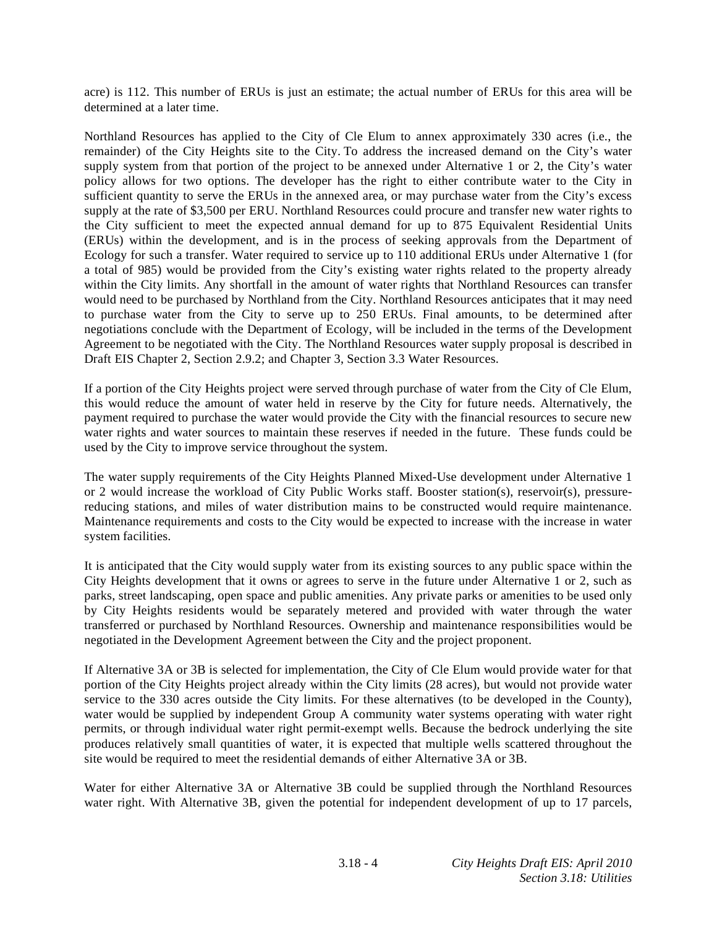acre) is 112. This number of ERUs is just an estimate; the actual number of ERUs for this area will be determined at a later time.

Northland Resources has applied to the City of Cle Elum to annex approximately 330 acres (i.e., the remainder) of the City Heights site to the City. To address the increased demand on the City's water supply system from that portion of the project to be annexed under Alternative 1 or 2, the City's water policy allows for two options. The developer has the right to either contribute water to the City in sufficient quantity to serve the ERUs in the annexed area, or may purchase water from the City's excess supply at the rate of \$3,500 per ERU. Northland Resources could procure and transfer new water rights to the City sufficient to meet the expected annual demand for up to 875 Equivalent Residential Units (ERUs) within the development, and is in the process of seeking approvals from the Department of Ecology for such a transfer. Water required to service up to 110 additional ERUs under Alternative 1 (for a total of 985) would be provided from the City's existing water rights related to the property already within the City limits. Any shortfall in the amount of water rights that Northland Resources can transfer would need to be purchased by Northland from the City. Northland Resources anticipates that it may need to purchase water from the City to serve up to 250 ERUs. Final amounts, to be determined after negotiations conclude with the Department of Ecology, will be included in the terms of the Development Agreement to be negotiated with the City. The Northland Resources water supply proposal is described in Draft EIS Chapter 2, Section 2.9.2; and Chapter 3, Section 3.3 Water Resources.

If a portion of the City Heights project were served through purchase of water from the City of Cle Elum, this would reduce the amount of water held in reserve by the City for future needs. Alternatively, the payment required to purchase the water would provide the City with the financial resources to secure new water rights and water sources to maintain these reserves if needed in the future. These funds could be used by the City to improve service throughout the system.

The water supply requirements of the City Heights Planned Mixed-Use development under Alternative 1 or 2 would increase the workload of City Public Works staff. Booster station(s), reservoir(s), pressurereducing stations, and miles of water distribution mains to be constructed would require maintenance. Maintenance requirements and costs to the City would be expected to increase with the increase in water system facilities.

It is anticipated that the City would supply water from its existing sources to any public space within the City Heights development that it owns or agrees to serve in the future under Alternative 1 or 2, such as parks, street landscaping, open space and public amenities. Any private parks or amenities to be used only by City Heights residents would be separately metered and provided with water through the water transferred or purchased by Northland Resources. Ownership and maintenance responsibilities would be negotiated in the Development Agreement between the City and the project proponent.

If Alternative 3A or 3B is selected for implementation, the City of Cle Elum would provide water for that portion of the City Heights project already within the City limits (28 acres), but would not provide water service to the 330 acres outside the City limits. For these alternatives (to be developed in the County), water would be supplied by independent Group A community water systems operating with water right permits, or through individual water right permit-exempt wells. Because the bedrock underlying the site produces relatively small quantities of water, it is expected that multiple wells scattered throughout the site would be required to meet the residential demands of either Alternative 3A or 3B.

Water for either Alternative 3A or Alternative 3B could be supplied through the Northland Resources water right. With Alternative 3B, given the potential for independent development of up to 17 parcels,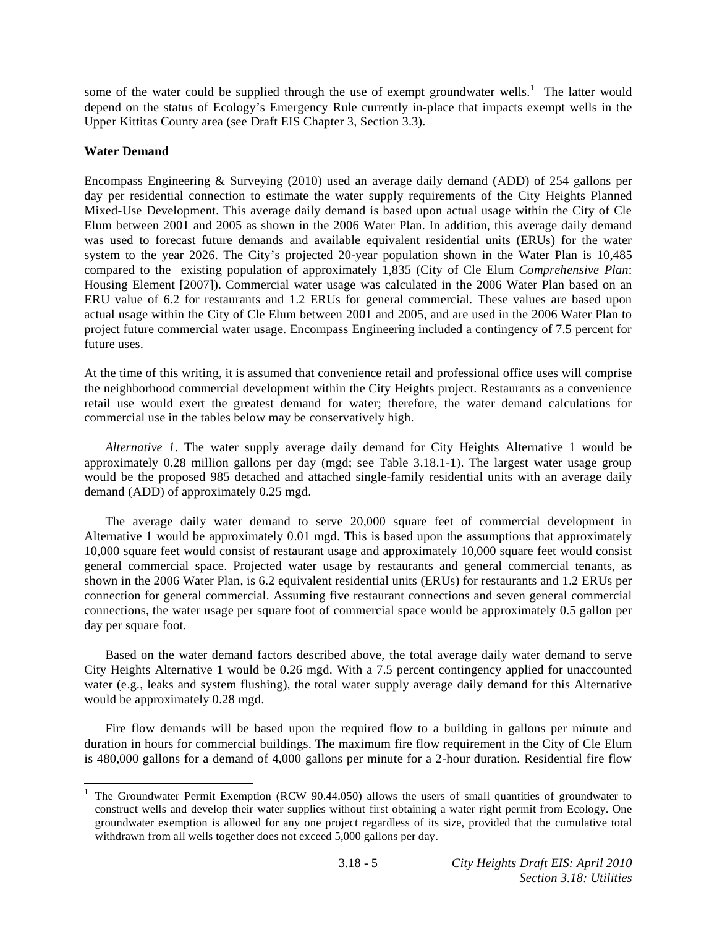some of the water could be supplied through the use of exempt groundwater wells.<sup>1</sup> The latter would depend on the status of Ecology's Emergency Rule currently in-place that impacts exempt wells in the Upper Kittitas County area (see Draft EIS Chapter 3, Section 3.3).

# **Water Demand**

 $\overline{a}$ 

Encompass Engineering & Surveying (2010) used an average daily demand (ADD) of 254 gallons per day per residential connection to estimate the water supply requirements of the City Heights Planned Mixed-Use Development. This average daily demand is based upon actual usage within the City of Cle Elum between 2001 and 2005 as shown in the 2006 Water Plan. In addition, this average daily demand was used to forecast future demands and available equivalent residential units (ERUs) for the water system to the year 2026. The City's projected 20-year population shown in the Water Plan is 10,485 compared to the existing population of approximately 1,835 (City of Cle Elum *Comprehensive Plan*: Housing Element [2007]). Commercial water usage was calculated in the 2006 Water Plan based on an ERU value of 6.2 for restaurants and 1.2 ERUs for general commercial. These values are based upon actual usage within the City of Cle Elum between 2001 and 2005, and are used in the 2006 Water Plan to project future commercial water usage. Encompass Engineering included a contingency of 7.5 percent for future uses.

At the time of this writing, it is assumed that convenience retail and professional office uses will comprise the neighborhood commercial development within the City Heights project. Restaurants as a convenience retail use would exert the greatest demand for water; therefore, the water demand calculations for commercial use in the tables below may be conservatively high.

*Alternative 1*. The water supply average daily demand for City Heights Alternative 1 would be approximately 0.28 million gallons per day (mgd; see Table 3.18.1-1). The largest water usage group would be the proposed 985 detached and attached single-family residential units with an average daily demand (ADD) of approximately 0.25 mgd.

 The average daily water demand to serve 20,000 square feet of commercial development in Alternative 1 would be approximately 0.01 mgd. This is based upon the assumptions that approximately 10,000 square feet would consist of restaurant usage and approximately 10,000 square feet would consist general commercial space. Projected water usage by restaurants and general commercial tenants, as shown in the 2006 Water Plan, is 6.2 equivalent residential units (ERUs) for restaurants and 1.2 ERUs per connection for general commercial. Assuming five restaurant connections and seven general commercial connections, the water usage per square foot of commercial space would be approximately 0.5 gallon per day per square foot.

 Based on the water demand factors described above, the total average daily water demand to serve City Heights Alternative 1 would be 0.26 mgd. With a 7.5 percent contingency applied for unaccounted water (e.g., leaks and system flushing), the total water supply average daily demand for this Alternative would be approximately 0.28 mgd.

 Fire flow demands will be based upon the required flow to a building in gallons per minute and duration in hours for commercial buildings. The maximum fire flow requirement in the City of Cle Elum is 480,000 gallons for a demand of 4,000 gallons per minute for a 2-hour duration. Residential fire flow

<sup>1</sup> The Groundwater Permit Exemption (RCW 90.44.050) allows the users of small quantities of groundwater to construct wells and develop their water supplies without first obtaining a water right permit from Ecology. One groundwater exemption is allowed for any one project regardless of its size, provided that the cumulative total withdrawn from all wells together does not exceed 5,000 gallons per day.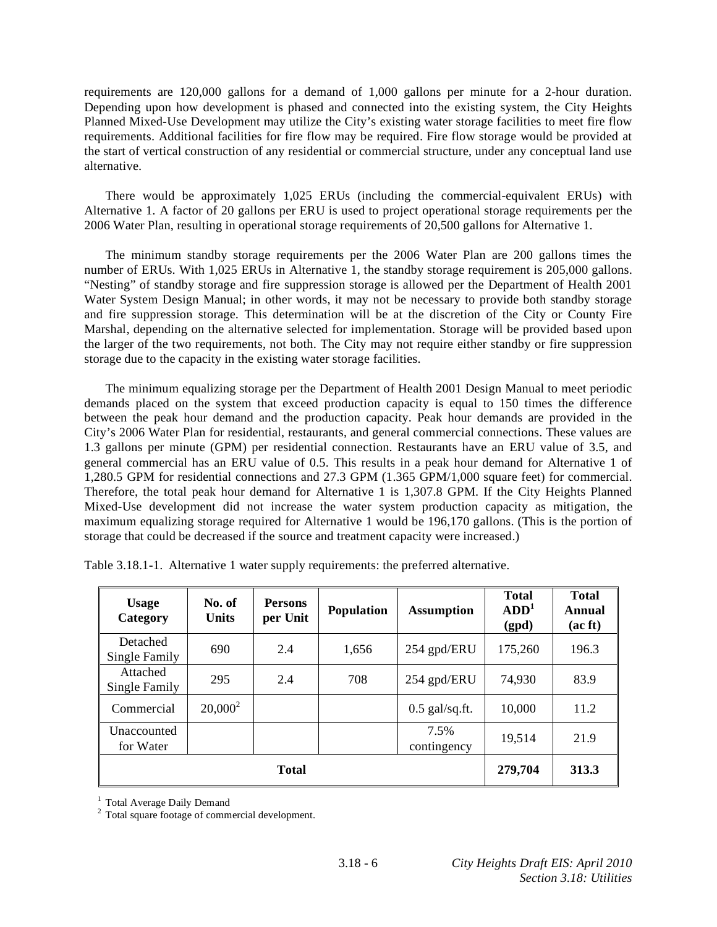requirements are 120,000 gallons for a demand of 1,000 gallons per minute for a 2-hour duration. Depending upon how development is phased and connected into the existing system, the City Heights Planned Mixed-Use Development may utilize the City's existing water storage facilities to meet fire flow requirements. Additional facilities for fire flow may be required. Fire flow storage would be provided at the start of vertical construction of any residential or commercial structure, under any conceptual land use alternative.

 There would be approximately 1,025 ERUs (including the commercial-equivalent ERUs) with Alternative 1. A factor of 20 gallons per ERU is used to project operational storage requirements per the 2006 Water Plan, resulting in operational storage requirements of 20,500 gallons for Alternative 1.

 The minimum standby storage requirements per the 2006 Water Plan are 200 gallons times the number of ERUs. With 1,025 ERUs in Alternative 1, the standby storage requirement is 205,000 gallons. "Nesting" of standby storage and fire suppression storage is allowed per the Department of Health 2001 Water System Design Manual; in other words, it may not be necessary to provide both standby storage and fire suppression storage. This determination will be at the discretion of the City or County Fire Marshal, depending on the alternative selected for implementation. Storage will be provided based upon the larger of the two requirements, not both. The City may not require either standby or fire suppression storage due to the capacity in the existing water storage facilities.

 The minimum equalizing storage per the Department of Health 2001 Design Manual to meet periodic demands placed on the system that exceed production capacity is equal to 150 times the difference between the peak hour demand and the production capacity. Peak hour demands are provided in the City's 2006 Water Plan for residential, restaurants, and general commercial connections. These values are 1.3 gallons per minute (GPM) per residential connection. Restaurants have an ERU value of 3.5, and general commercial has an ERU value of 0.5. This results in a peak hour demand for Alternative 1 of 1,280.5 GPM for residential connections and 27.3 GPM (1.365 GPM/1,000 square feet) for commercial. Therefore, the total peak hour demand for Alternative 1 is 1,307.8 GPM. If the City Heights Planned Mixed-Use development did not increase the water system production capacity as mitigation, the maximum equalizing storage required for Alternative 1 would be 196,170 gallons. (This is the portion of storage that could be decreased if the source and treatment capacity were increased.)

| <b>Usage</b><br>Category  | No. of<br><b>Units</b> | <b>Persons</b><br>per Unit | <b>Population</b> | <b>Assumption</b>   | <b>Total</b><br>ADD <sup>1</sup><br>(gpd) | <b>Total</b><br>Annual<br>(ac ft) |
|---------------------------|------------------------|----------------------------|-------------------|---------------------|-------------------------------------------|-----------------------------------|
| Detached<br>Single Family | 690                    | 2.4                        | 1,656             | 254 gpd/ERU         | 175,260                                   | 196.3                             |
| Attached<br>Single Family | 295                    | 2.4                        | 708               | 254 gpd/ERU         | 74,930                                    | 83.9                              |
| Commercial                | $20,000^2$             |                            |                   | $0.5$ gal/sq.ft.    | 10,000                                    | 11.2                              |
| Unaccounted<br>for Water  |                        |                            |                   | 7.5%<br>contingency | 19,514                                    | 21.9                              |
| <b>Total</b>              |                        |                            |                   |                     | 279,704                                   | 313.3                             |

Table 3.18.1-1. Alternative 1 water supply requirements: the preferred alternative.

<sup>1</sup> Total Average Daily Demand

<sup>2</sup> Total square footage of commercial development.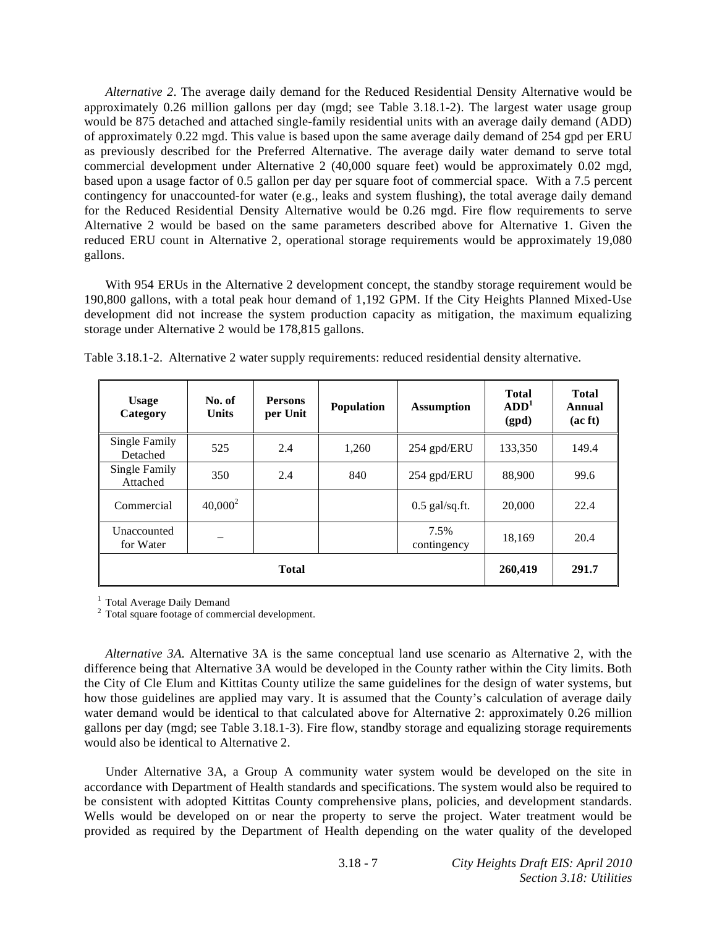*Alternative 2*. The average daily demand for the Reduced Residential Density Alternative would be approximately 0.26 million gallons per day (mgd; see Table 3.18.1-2). The largest water usage group would be 875 detached and attached single-family residential units with an average daily demand (ADD) of approximately 0.22 mgd. This value is based upon the same average daily demand of 254 gpd per ERU as previously described for the Preferred Alternative. The average daily water demand to serve total commercial development under Alternative 2 (40,000 square feet) would be approximately 0.02 mgd, based upon a usage factor of 0.5 gallon per day per square foot of commercial space. With a 7.5 percent contingency for unaccounted-for water (e.g., leaks and system flushing), the total average daily demand for the Reduced Residential Density Alternative would be 0.26 mgd. Fire flow requirements to serve Alternative 2 would be based on the same parameters described above for Alternative 1. Given the reduced ERU count in Alternative 2, operational storage requirements would be approximately 19,080 gallons.

 With 954 ERUs in the Alternative 2 development concept, the standby storage requirement would be 190,800 gallons, with a total peak hour demand of 1,192 GPM. If the City Heights Planned Mixed-Use development did not increase the system production capacity as mitigation, the maximum equalizing storage under Alternative 2 would be 178,815 gallons.

| <b>Usage</b><br>Category  | No. of<br><b>Units</b> | <b>Persons</b><br>per Unit | <b>Population</b> | <b>Assumption</b>   | <b>Total</b><br>ADD <sup>1</sup><br>(gpd) | <b>Total</b><br>Annual<br>(ac ft) |
|---------------------------|------------------------|----------------------------|-------------------|---------------------|-------------------------------------------|-----------------------------------|
| Single Family<br>Detached | 525                    | 2.4                        | 1,260             | 254 gpd/ERU         | 133,350                                   | 149.4                             |
| Single Family<br>Attached | 350                    | 2.4                        | 840               | 254 gpd/ERU         | 88,900                                    | 99.6                              |
| Commercial                | $40,000^2$             |                            |                   | $0.5$ gal/sq.ft.    | 20,000                                    | 22.4                              |
| Unaccounted<br>for Water  |                        |                            |                   | 7.5%<br>contingency | 18,169                                    | 20.4                              |
| <b>Total</b>              |                        |                            |                   |                     | 260,419                                   | 291.7                             |

Table 3.18.1-2. Alternative 2 water supply requirements: reduced residential density alternative.

<sup>1</sup> Total Average Daily Demand

2 Total square footage of commercial development.

*Alternative 3A*. Alternative 3A is the same conceptual land use scenario as Alternative 2, with the difference being that Alternative 3A would be developed in the County rather within the City limits. Both the City of Cle Elum and Kittitas County utilize the same guidelines for the design of water systems, but how those guidelines are applied may vary. It is assumed that the County's calculation of average daily water demand would be identical to that calculated above for Alternative 2: approximately 0.26 million gallons per day (mgd; see Table 3.18.1-3). Fire flow, standby storage and equalizing storage requirements would also be identical to Alternative 2.

 Under Alternative 3A, a Group A community water system would be developed on the site in accordance with Department of Health standards and specifications. The system would also be required to be consistent with adopted Kittitas County comprehensive plans, policies, and development standards. Wells would be developed on or near the property to serve the project. Water treatment would be provided as required by the Department of Health depending on the water quality of the developed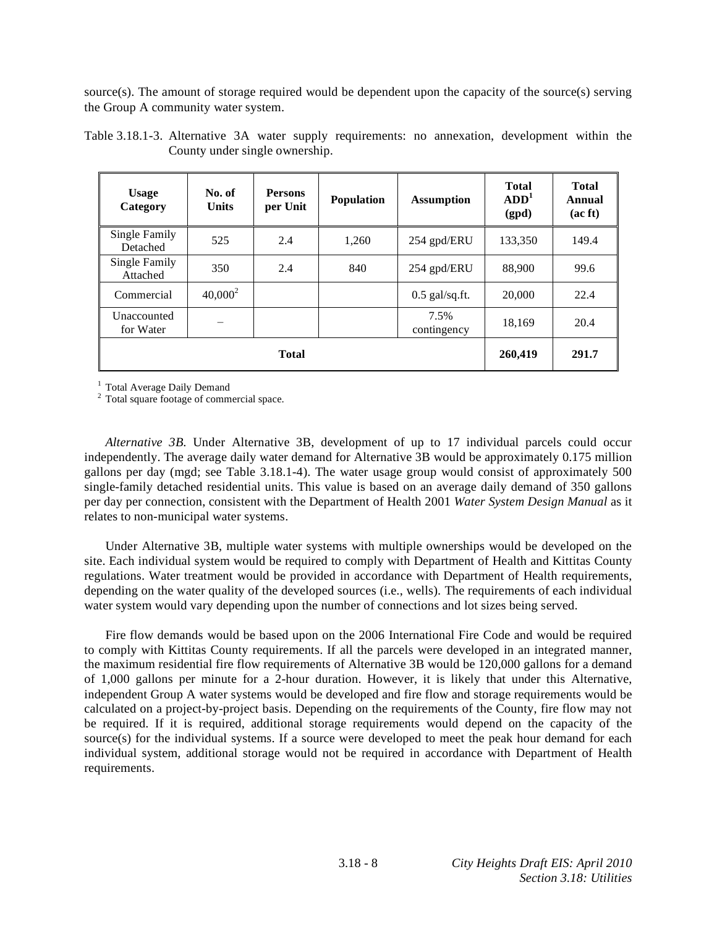source(s). The amount of storage required would be dependent upon the capacity of the source(s) serving the Group A community water system.

| <b>Usage</b><br>Category  | No. of<br><b>Units</b> | <b>Persons</b><br>per Unit | Population | <b>Assumption</b>   | <b>Total</b><br>ADD <sup>1</sup><br>(gpd) | <b>Total</b><br>Annual<br>(ac ft) |
|---------------------------|------------------------|----------------------------|------------|---------------------|-------------------------------------------|-----------------------------------|
| Single Family<br>Detached | 525                    | 2.4                        | 1.260      | 254 gpd/ERU         | 133,350                                   | 149.4                             |
| Single Family<br>Attached | 350                    | 2.4                        | 840        | 254 gpd/ERU         | 88,900                                    | 99.6                              |
| Commercial                | $40,000^2$             |                            |            | $0.5$ gal/sq.ft.    | 20,000                                    | 22.4                              |
| Unaccounted<br>for Water  |                        |                            |            | 7.5%<br>contingency | 18,169                                    | 20.4                              |
|                           | 260,419                | 291.7                      |            |                     |                                           |                                   |

Table 3.18.1-3. Alternative 3A water supply requirements: no annexation, development within the County under single ownership.

<sup>1</sup> Total Average Daily Demand

<sup>2</sup> Total square footage of commercial space.

*Alternative 3B*. Under Alternative 3B, development of up to 17 individual parcels could occur independently. The average daily water demand for Alternative 3B would be approximately 0.175 million gallons per day (mgd; see Table 3.18.1-4). The water usage group would consist of approximately 500 single-family detached residential units. This value is based on an average daily demand of 350 gallons per day per connection, consistent with the Department of Health 2001 *Water System Design Manual* as it relates to non-municipal water systems.

 Under Alternative 3B, multiple water systems with multiple ownerships would be developed on the site. Each individual system would be required to comply with Department of Health and Kittitas County regulations. Water treatment would be provided in accordance with Department of Health requirements, depending on the water quality of the developed sources (i.e., wells). The requirements of each individual water system would vary depending upon the number of connections and lot sizes being served.

 Fire flow demands would be based upon on the 2006 International Fire Code and would be required to comply with Kittitas County requirements. If all the parcels were developed in an integrated manner, the maximum residential fire flow requirements of Alternative 3B would be 120,000 gallons for a demand of 1,000 gallons per minute for a 2-hour duration. However, it is likely that under this Alternative, independent Group A water systems would be developed and fire flow and storage requirements would be calculated on a project-by-project basis. Depending on the requirements of the County, fire flow may not be required. If it is required, additional storage requirements would depend on the capacity of the source(s) for the individual systems. If a source were developed to meet the peak hour demand for each individual system, additional storage would not be required in accordance with Department of Health requirements.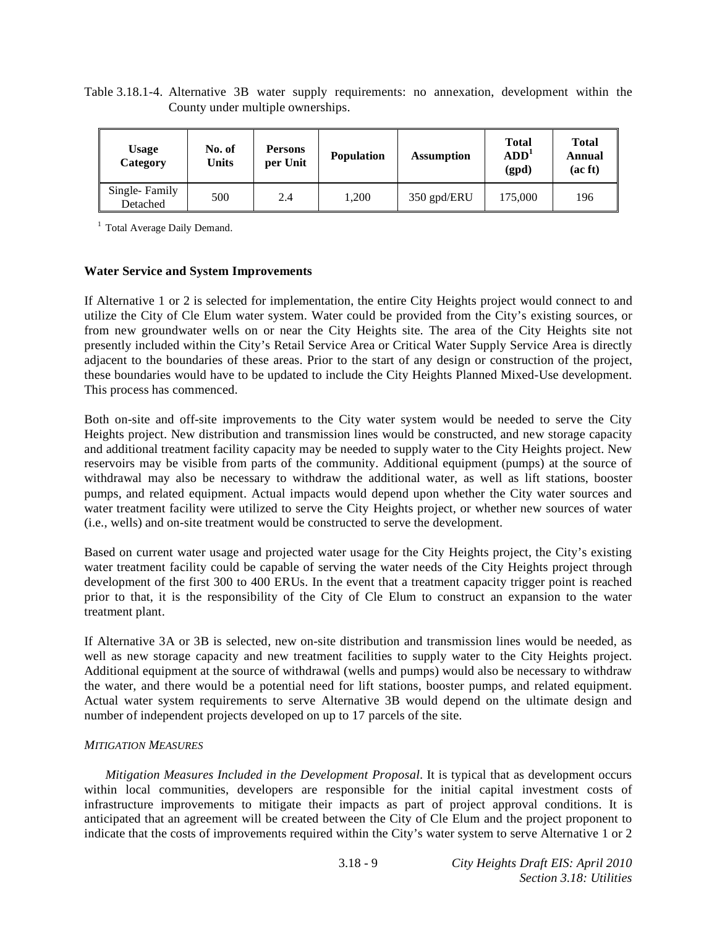Table 3.18.1-4. Alternative 3B water supply requirements: no annexation, development within the County under multiple ownerships.

| <b>Usage</b><br>Category  | No. of<br>Units | <b>Persons</b><br>per Unit | <b>Population</b> | <b>Assumption</b> | <b>Total</b><br>ADD <sup>1</sup><br>(gpd) | <b>Total</b><br>Annual<br>(ac ft) |
|---------------------------|-----------------|----------------------------|-------------------|-------------------|-------------------------------------------|-----------------------------------|
| Single-Family<br>Detached | 500             | 2.4                        | .200              | 350 gpd/ERU       | 175.000                                   | 196                               |

<sup>1</sup> Total Average Daily Demand.

#### **Water Service and System Improvements**

If Alternative 1 or 2 is selected for implementation, the entire City Heights project would connect to and utilize the City of Cle Elum water system. Water could be provided from the City's existing sources, or from new groundwater wells on or near the City Heights site. The area of the City Heights site not presently included within the City's Retail Service Area or Critical Water Supply Service Area is directly adjacent to the boundaries of these areas. Prior to the start of any design or construction of the project, these boundaries would have to be updated to include the City Heights Planned Mixed-Use development. This process has commenced.

Both on-site and off-site improvements to the City water system would be needed to serve the City Heights project. New distribution and transmission lines would be constructed, and new storage capacity and additional treatment facility capacity may be needed to supply water to the City Heights project. New reservoirs may be visible from parts of the community. Additional equipment (pumps) at the source of withdrawal may also be necessary to withdraw the additional water, as well as lift stations, booster pumps, and related equipment. Actual impacts would depend upon whether the City water sources and water treatment facility were utilized to serve the City Heights project, or whether new sources of water (i.e., wells) and on-site treatment would be constructed to serve the development.

Based on current water usage and projected water usage for the City Heights project, the City's existing water treatment facility could be capable of serving the water needs of the City Heights project through development of the first 300 to 400 ERUs. In the event that a treatment capacity trigger point is reached prior to that, it is the responsibility of the City of Cle Elum to construct an expansion to the water treatment plant.

If Alternative 3A or 3B is selected, new on-site distribution and transmission lines would be needed, as well as new storage capacity and new treatment facilities to supply water to the City Heights project. Additional equipment at the source of withdrawal (wells and pumps) would also be necessary to withdraw the water, and there would be a potential need for lift stations, booster pumps, and related equipment. Actual water system requirements to serve Alternative 3B would depend on the ultimate design and number of independent projects developed on up to 17 parcels of the site.

# *MITIGATION MEASURES*

*Mitigation Measures Included in the Development Proposal*. It is typical that as development occurs within local communities, developers are responsible for the initial capital investment costs of infrastructure improvements to mitigate their impacts as part of project approval conditions. It is anticipated that an agreement will be created between the City of Cle Elum and the project proponent to indicate that the costs of improvements required within the City's water system to serve Alternative 1 or 2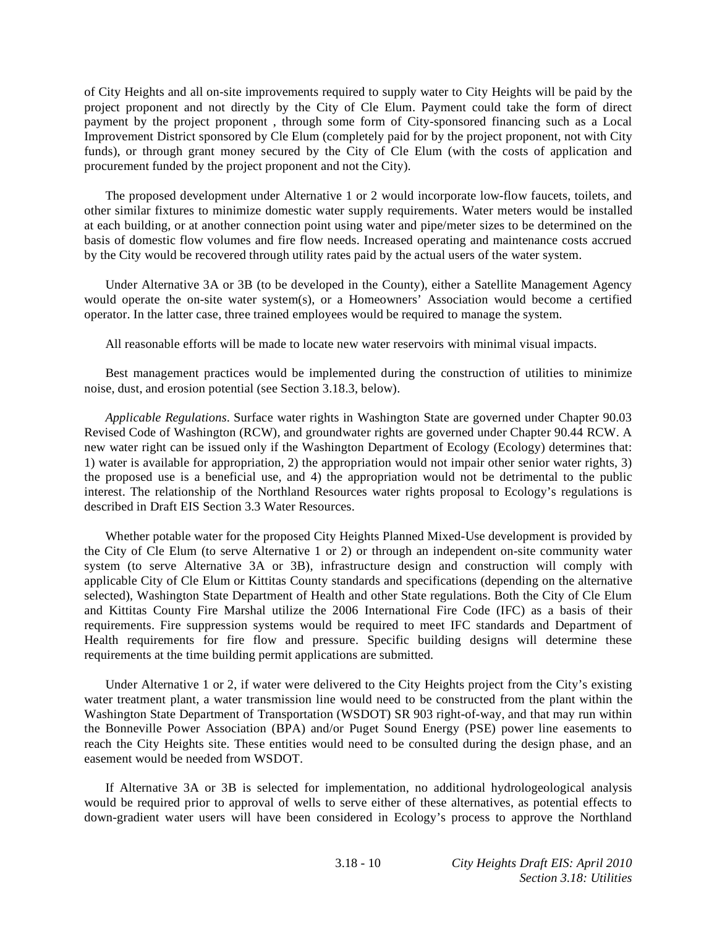of City Heights and all on-site improvements required to supply water to City Heights will be paid by the project proponent and not directly by the City of Cle Elum. Payment could take the form of direct payment by the project proponent , through some form of City-sponsored financing such as a Local Improvement District sponsored by Cle Elum (completely paid for by the project proponent, not with City funds), or through grant money secured by the City of Cle Elum (with the costs of application and procurement funded by the project proponent and not the City).

 The proposed development under Alternative 1 or 2 would incorporate low-flow faucets, toilets, and other similar fixtures to minimize domestic water supply requirements. Water meters would be installed at each building, or at another connection point using water and pipe/meter sizes to be determined on the basis of domestic flow volumes and fire flow needs. Increased operating and maintenance costs accrued by the City would be recovered through utility rates paid by the actual users of the water system.

 Under Alternative 3A or 3B (to be developed in the County), either a Satellite Management Agency would operate the on-site water system(s), or a Homeowners' Association would become a certified operator. In the latter case, three trained employees would be required to manage the system.

All reasonable efforts will be made to locate new water reservoirs with minimal visual impacts.

 Best management practices would be implemented during the construction of utilities to minimize noise, dust, and erosion potential (see Section 3.18.3, below).

*Applicable Regulations*. Surface water rights in Washington State are governed under Chapter 90.03 Revised Code of Washington (RCW), and groundwater rights are governed under Chapter 90.44 RCW. A new water right can be issued only if the Washington Department of Ecology (Ecology) determines that: 1) water is available for appropriation, 2) the appropriation would not impair other senior water rights, 3) the proposed use is a beneficial use, and 4) the appropriation would not be detrimental to the public interest. The relationship of the Northland Resources water rights proposal to Ecology's regulations is described in Draft EIS Section 3.3 Water Resources.

Whether potable water for the proposed City Heights Planned Mixed-Use development is provided by the City of Cle Elum (to serve Alternative 1 or 2) or through an independent on-site community water system (to serve Alternative 3A or 3B), infrastructure design and construction will comply with applicable City of Cle Elum or Kittitas County standards and specifications (depending on the alternative selected), Washington State Department of Health and other State regulations. Both the City of Cle Elum and Kittitas County Fire Marshal utilize the 2006 International Fire Code (IFC) as a basis of their requirements. Fire suppression systems would be required to meet IFC standards and Department of Health requirements for fire flow and pressure. Specific building designs will determine these requirements at the time building permit applications are submitted.

 Under Alternative 1 or 2, if water were delivered to the City Heights project from the City's existing water treatment plant, a water transmission line would need to be constructed from the plant within the Washington State Department of Transportation (WSDOT) SR 903 right-of-way, and that may run within the Bonneville Power Association (BPA) and/or Puget Sound Energy (PSE) power line easements to reach the City Heights site. These entities would need to be consulted during the design phase, and an easement would be needed from WSDOT.

 If Alternative 3A or 3B is selected for implementation, no additional hydrologeological analysis would be required prior to approval of wells to serve either of these alternatives, as potential effects to down-gradient water users will have been considered in Ecology's process to approve the Northland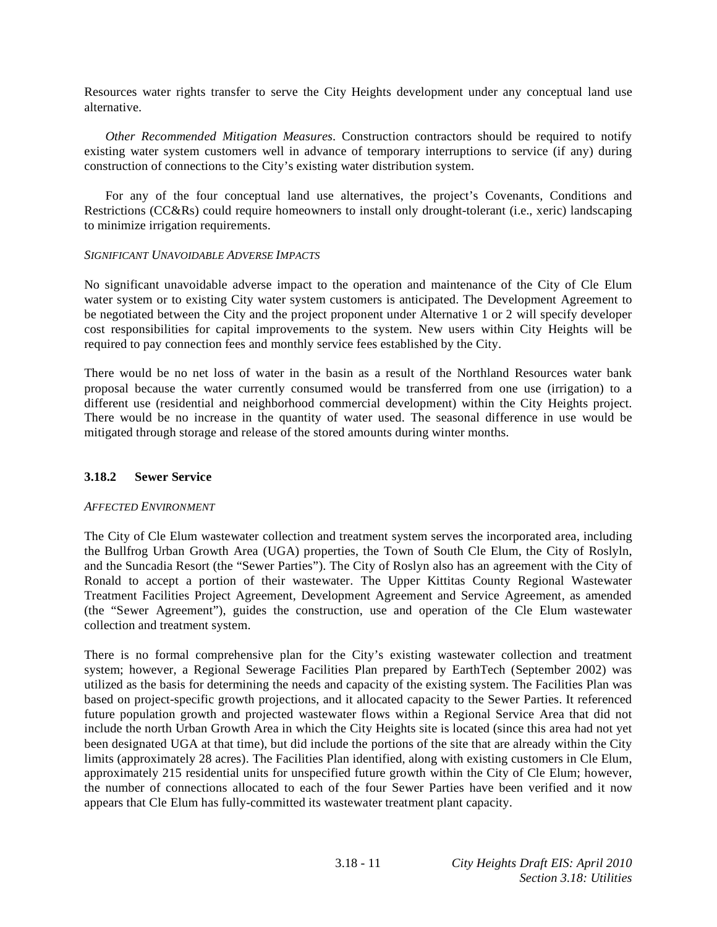Resources water rights transfer to serve the City Heights development under any conceptual land use alternative.

*Other Recommended Mitigation Measures*. Construction contractors should be required to notify existing water system customers well in advance of temporary interruptions to service (if any) during construction of connections to the City's existing water distribution system.

 For any of the four conceptual land use alternatives, the project's Covenants, Conditions and Restrictions (CC&Rs) could require homeowners to install only drought-tolerant (i.e., xeric) landscaping to minimize irrigation requirements.

#### *SIGNIFICANT UNAVOIDABLE ADVERSE IMPACTS*

No significant unavoidable adverse impact to the operation and maintenance of the City of Cle Elum water system or to existing City water system customers is anticipated. The Development Agreement to be negotiated between the City and the project proponent under Alternative 1 or 2 will specify developer cost responsibilities for capital improvements to the system. New users within City Heights will be required to pay connection fees and monthly service fees established by the City.

There would be no net loss of water in the basin as a result of the Northland Resources water bank proposal because the water currently consumed would be transferred from one use (irrigation) to a different use (residential and neighborhood commercial development) within the City Heights project. There would be no increase in the quantity of water used. The seasonal difference in use would be mitigated through storage and release of the stored amounts during winter months.

#### **3.18.2 Sewer Service**

#### *AFFECTED ENVIRONMENT*

The City of Cle Elum wastewater collection and treatment system serves the incorporated area, including the Bullfrog Urban Growth Area (UGA) properties, the Town of South Cle Elum, the City of Roslyln, and the Suncadia Resort (the "Sewer Parties"). The City of Roslyn also has an agreement with the City of Ronald to accept a portion of their wastewater. The Upper Kittitas County Regional Wastewater Treatment Facilities Project Agreement, Development Agreement and Service Agreement, as amended (the "Sewer Agreement"), guides the construction, use and operation of the Cle Elum wastewater collection and treatment system.

There is no formal comprehensive plan for the City's existing wastewater collection and treatment system; however, a Regional Sewerage Facilities Plan prepared by EarthTech (September 2002) was utilized as the basis for determining the needs and capacity of the existing system. The Facilities Plan was based on project-specific growth projections, and it allocated capacity to the Sewer Parties. It referenced future population growth and projected wastewater flows within a Regional Service Area that did not include the north Urban Growth Area in which the City Heights site is located (since this area had not yet been designated UGA at that time), but did include the portions of the site that are already within the City limits (approximately 28 acres). The Facilities Plan identified, along with existing customers in Cle Elum, approximately 215 residential units for unspecified future growth within the City of Cle Elum; however, the number of connections allocated to each of the four Sewer Parties have been verified and it now appears that Cle Elum has fully-committed its wastewater treatment plant capacity.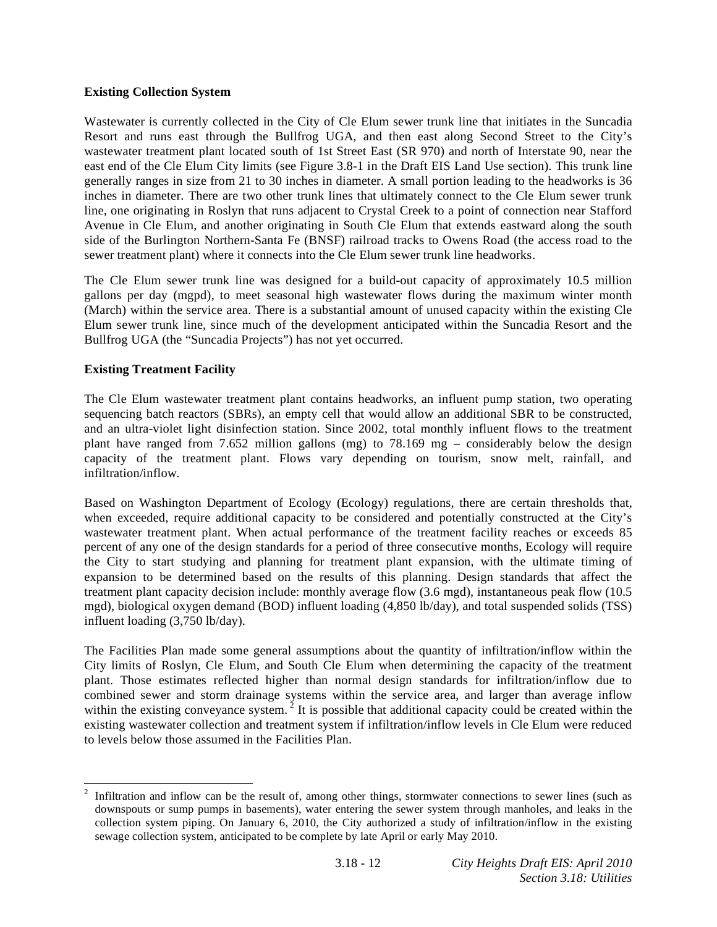# **Existing Collection System**

Wastewater is currently collected in the City of Cle Elum sewer trunk line that initiates in the Suncadia Resort and runs east through the Bullfrog UGA, and then east along Second Street to the City's wastewater treatment plant located south of 1st Street East (SR 970) and north of Interstate 90, near the east end of the Cle Elum City limits (see Figure 3.8-1 in the Draft EIS Land Use section). This trunk line generally ranges in size from 21 to 30 inches in diameter. A small portion leading to the headworks is 36 inches in diameter. There are two other trunk lines that ultimately connect to the Cle Elum sewer trunk line, one originating in Roslyn that runs adjacent to Crystal Creek to a point of connection near Stafford Avenue in Cle Elum, and another originating in South Cle Elum that extends eastward along the south side of the Burlington Northern-Santa Fe (BNSF) railroad tracks to Owens Road (the access road to the sewer treatment plant) where it connects into the Cle Elum sewer trunk line headworks.

The Cle Elum sewer trunk line was designed for a build-out capacity of approximately 10.5 million gallons per day (mgpd), to meet seasonal high wastewater flows during the maximum winter month (March) within the service area. There is a substantial amount of unused capacity within the existing Cle Elum sewer trunk line, since much of the development anticipated within the Suncadia Resort and the Bullfrog UGA (the "Suncadia Projects") has not yet occurred.

# **Existing Treatment Facility**

The Cle Elum wastewater treatment plant contains headworks, an influent pump station, two operating sequencing batch reactors (SBRs), an empty cell that would allow an additional SBR to be constructed, and an ultra-violet light disinfection station. Since 2002, total monthly influent flows to the treatment plant have ranged from 7.652 million gallons (mg) to 78.169 mg – considerably below the design capacity of the treatment plant. Flows vary depending on tourism, snow melt, rainfall, and infiltration/inflow.

Based on Washington Department of Ecology (Ecology) regulations, there are certain thresholds that, when exceeded, require additional capacity to be considered and potentially constructed at the City's wastewater treatment plant. When actual performance of the treatment facility reaches or exceeds 85 percent of any one of the design standards for a period of three consecutive months, Ecology will require the City to start studying and planning for treatment plant expansion, with the ultimate timing of expansion to be determined based on the results of this planning. Design standards that affect the treatment plant capacity decision include: monthly average flow (3.6 mgd), instantaneous peak flow (10.5 mgd), biological oxygen demand (BOD) influent loading (4,850 lb/day), and total suspended solids (TSS) influent loading (3,750 lb/day).

The Facilities Plan made some general assumptions about the quantity of infiltration/inflow within the City limits of Roslyn, Cle Elum, and South Cle Elum when determining the capacity of the treatment plant. Those estimates reflected higher than normal design standards for infiltration/inflow due to combined sewer and storm drainage systems within the service area, and larger than average inflow within the existing conveyance system.<sup>2</sup> It is possible that additional capacity could be created within the existing wastewater collection and treatment system if infiltration/inflow levels in Cle Elum were reduced to levels below those assumed in the Facilities Plan.

 $\frac{1}{2}$  Infiltration and inflow can be the result of, among other things, stormwater connections to sewer lines (such as downspouts or sump pumps in basements), water entering the sewer system through manholes, and leaks in the collection system piping. On January 6, 2010, the City authorized a study of infiltration/inflow in the existing sewage collection system, anticipated to be complete by late April or early May 2010.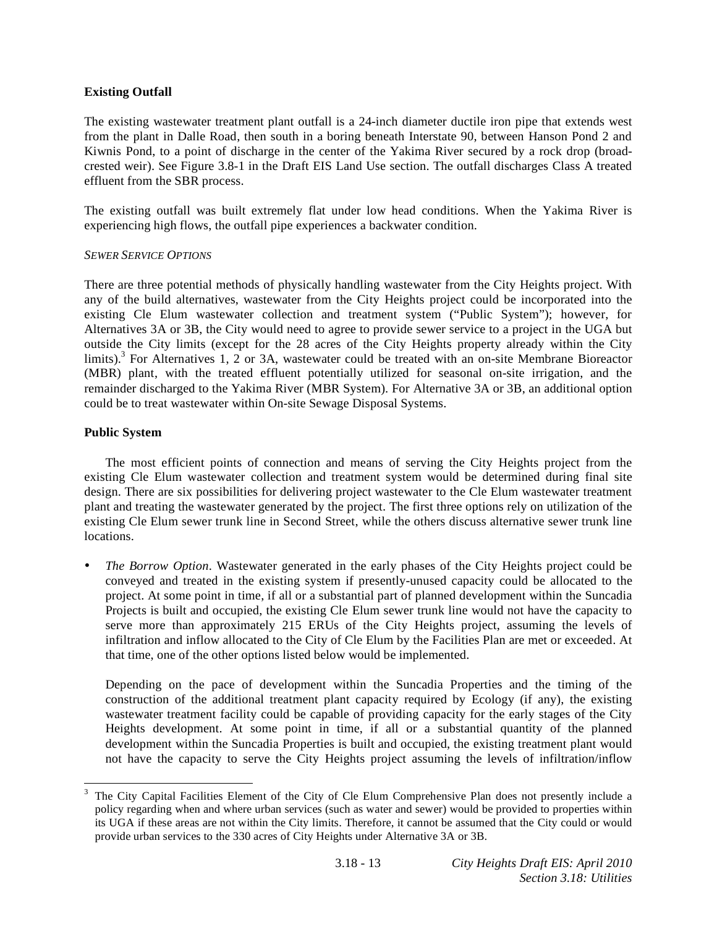# **Existing Outfall**

The existing wastewater treatment plant outfall is a 24-inch diameter ductile iron pipe that extends west from the plant in Dalle Road, then south in a boring beneath Interstate 90, between Hanson Pond 2 and Kiwnis Pond, to a point of discharge in the center of the Yakima River secured by a rock drop (broadcrested weir). See Figure 3.8-1 in the Draft EIS Land Use section. The outfall discharges Class A treated effluent from the SBR process.

The existing outfall was built extremely flat under low head conditions. When the Yakima River is experiencing high flows, the outfall pipe experiences a backwater condition.

# *SEWER SERVICE OPTIONS*

There are three potential methods of physically handling wastewater from the City Heights project. With any of the build alternatives, wastewater from the City Heights project could be incorporated into the existing Cle Elum wastewater collection and treatment system ("Public System"); however, for Alternatives 3A or 3B, the City would need to agree to provide sewer service to a project in the UGA but outside the City limits (except for the 28 acres of the City Heights property already within the City limits).<sup>3</sup> For Alternatives 1, 2 or 3A, wastewater could be treated with an on-site Membrane Bioreactor (MBR) plant, with the treated effluent potentially utilized for seasonal on-site irrigation, and the remainder discharged to the Yakima River (MBR System). For Alternative 3A or 3B, an additional option could be to treat wastewater within On-site Sewage Disposal Systems.

# **Public System**

 $\overline{a}$ 

 The most efficient points of connection and means of serving the City Heights project from the existing Cle Elum wastewater collection and treatment system would be determined during final site design. There are six possibilities for delivering project wastewater to the Cle Elum wastewater treatment plant and treating the wastewater generated by the project. The first three options rely on utilization of the existing Cle Elum sewer trunk line in Second Street, while the others discuss alternative sewer trunk line locations.

• *The Borrow Option*. Wastewater generated in the early phases of the City Heights project could be conveyed and treated in the existing system if presently-unused capacity could be allocated to the project. At some point in time, if all or a substantial part of planned development within the Suncadia Projects is built and occupied, the existing Cle Elum sewer trunk line would not have the capacity to serve more than approximately 215 ERUs of the City Heights project, assuming the levels of infiltration and inflow allocated to the City of Cle Elum by the Facilities Plan are met or exceeded. At that time, one of the other options listed below would be implemented.

Depending on the pace of development within the Suncadia Properties and the timing of the construction of the additional treatment plant capacity required by Ecology (if any), the existing wastewater treatment facility could be capable of providing capacity for the early stages of the City Heights development. At some point in time, if all or a substantial quantity of the planned development within the Suncadia Properties is built and occupied, the existing treatment plant would not have the capacity to serve the City Heights project assuming the levels of infiltration/inflow

<sup>3</sup> The City Capital Facilities Element of the City of Cle Elum Comprehensive Plan does not presently include a policy regarding when and where urban services (such as water and sewer) would be provided to properties within its UGA if these areas are not within the City limits. Therefore, it cannot be assumed that the City could or would provide urban services to the 330 acres of City Heights under Alternative 3A or 3B.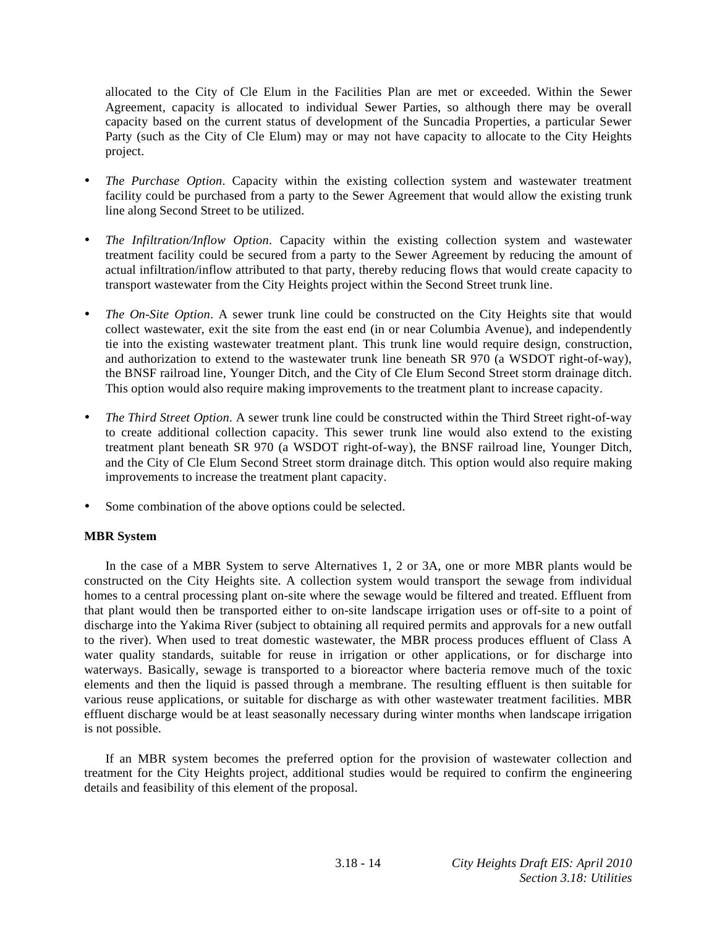allocated to the City of Cle Elum in the Facilities Plan are met or exceeded. Within the Sewer Agreement, capacity is allocated to individual Sewer Parties, so although there may be overall capacity based on the current status of development of the Suncadia Properties, a particular Sewer Party (such as the City of Cle Elum) may or may not have capacity to allocate to the City Heights project.

- *The Purchase Option*. Capacity within the existing collection system and wastewater treatment facility could be purchased from a party to the Sewer Agreement that would allow the existing trunk line along Second Street to be utilized.
- *The Infiltration/Inflow Option*. Capacity within the existing collection system and wastewater treatment facility could be secured from a party to the Sewer Agreement by reducing the amount of actual infiltration/inflow attributed to that party, thereby reducing flows that would create capacity to transport wastewater from the City Heights project within the Second Street trunk line.
- *The On-Site Option*. A sewer trunk line could be constructed on the City Heights site that would collect wastewater, exit the site from the east end (in or near Columbia Avenue), and independently tie into the existing wastewater treatment plant. This trunk line would require design, construction, and authorization to extend to the wastewater trunk line beneath SR 970 (a WSDOT right-of-way), the BNSF railroad line, Younger Ditch, and the City of Cle Elum Second Street storm drainage ditch. This option would also require making improvements to the treatment plant to increase capacity.
- *The Third Street Option*. A sewer trunk line could be constructed within the Third Street right-of-way to create additional collection capacity. This sewer trunk line would also extend to the existing treatment plant beneath SR 970 (a WSDOT right-of-way), the BNSF railroad line, Younger Ditch, and the City of Cle Elum Second Street storm drainage ditch. This option would also require making improvements to increase the treatment plant capacity.
- Some combination of the above options could be selected.

# **MBR System**

 In the case of a MBR System to serve Alternatives 1, 2 or 3A, one or more MBR plants would be constructed on the City Heights site. A collection system would transport the sewage from individual homes to a central processing plant on-site where the sewage would be filtered and treated. Effluent from that plant would then be transported either to on-site landscape irrigation uses or off-site to a point of discharge into the Yakima River (subject to obtaining all required permits and approvals for a new outfall to the river). When used to treat domestic wastewater, the MBR process produces effluent of Class A water quality standards, suitable for reuse in irrigation or other applications, or for discharge into waterways. Basically, sewage is transported to a bioreactor where bacteria remove much of the toxic elements and then the liquid is passed through a membrane. The resulting effluent is then suitable for various reuse applications, or suitable for discharge as with other wastewater treatment facilities. MBR effluent discharge would be at least seasonally necessary during winter months when landscape irrigation is not possible.

 If an MBR system becomes the preferred option for the provision of wastewater collection and treatment for the City Heights project, additional studies would be required to confirm the engineering details and feasibility of this element of the proposal.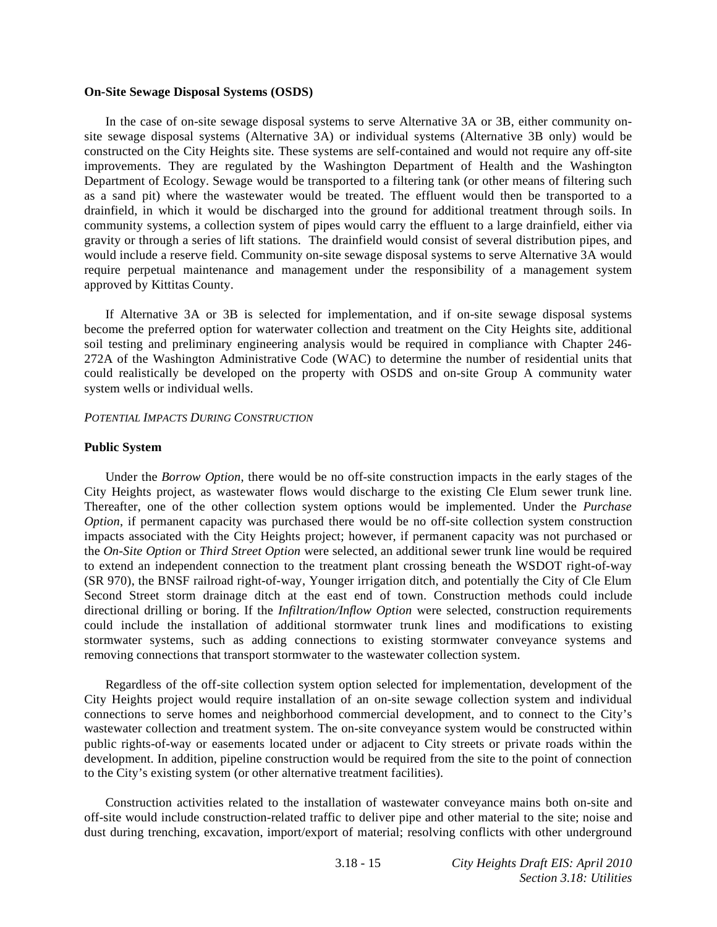#### **On-Site Sewage Disposal Systems (OSDS)**

 In the case of on-site sewage disposal systems to serve Alternative 3A or 3B, either community onsite sewage disposal systems (Alternative 3A) or individual systems (Alternative 3B only) would be constructed on the City Heights site. These systems are self-contained and would not require any off-site improvements. They are regulated by the Washington Department of Health and the Washington Department of Ecology. Sewage would be transported to a filtering tank (or other means of filtering such as a sand pit) where the wastewater would be treated. The effluent would then be transported to a drainfield, in which it would be discharged into the ground for additional treatment through soils. In community systems, a collection system of pipes would carry the effluent to a large drainfield, either via gravity or through a series of lift stations. The drainfield would consist of several distribution pipes, and would include a reserve field. Community on-site sewage disposal systems to serve Alternative 3A would require perpetual maintenance and management under the responsibility of a management system approved by Kittitas County.

 If Alternative 3A or 3B is selected for implementation, and if on-site sewage disposal systems become the preferred option for waterwater collection and treatment on the City Heights site, additional soil testing and preliminary engineering analysis would be required in compliance with Chapter 246- 272A of the Washington Administrative Code (WAC) to determine the number of residential units that could realistically be developed on the property with OSDS and on-site Group A community water system wells or individual wells.

#### *POTENTIAL IMPACTS DURING CONSTRUCTION*

#### **Public System**

 Under the *Borrow Option*, there would be no off-site construction impacts in the early stages of the City Heights project, as wastewater flows would discharge to the existing Cle Elum sewer trunk line. Thereafter, one of the other collection system options would be implemented. Under the *Purchase Option*, if permanent capacity was purchased there would be no off-site collection system construction impacts associated with the City Heights project; however, if permanent capacity was not purchased or the *On-Site Option* or *Third Street Option* were selected, an additional sewer trunk line would be required to extend an independent connection to the treatment plant crossing beneath the WSDOT right-of-way (SR 970), the BNSF railroad right-of-way, Younger irrigation ditch, and potentially the City of Cle Elum Second Street storm drainage ditch at the east end of town. Construction methods could include directional drilling or boring. If the *Infiltration/Inflow Option* were selected, construction requirements could include the installation of additional stormwater trunk lines and modifications to existing stormwater systems, such as adding connections to existing stormwater conveyance systems and removing connections that transport stormwater to the wastewater collection system.

 Regardless of the off-site collection system option selected for implementation, development of the City Heights project would require installation of an on-site sewage collection system and individual connections to serve homes and neighborhood commercial development, and to connect to the City's wastewater collection and treatment system. The on-site conveyance system would be constructed within public rights-of-way or easements located under or adjacent to City streets or private roads within the development. In addition, pipeline construction would be required from the site to the point of connection to the City's existing system (or other alternative treatment facilities).

 Construction activities related to the installation of wastewater conveyance mains both on-site and off-site would include construction-related traffic to deliver pipe and other material to the site; noise and dust during trenching, excavation, import/export of material; resolving conflicts with other underground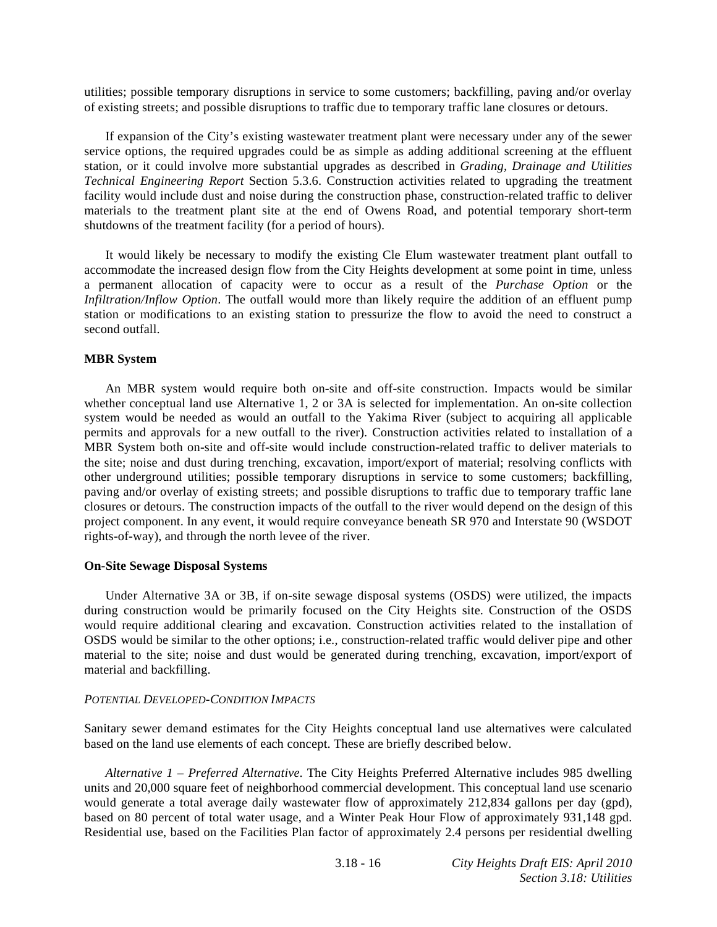utilities; possible temporary disruptions in service to some customers; backfilling, paving and/or overlay of existing streets; and possible disruptions to traffic due to temporary traffic lane closures or detours.

 If expansion of the City's existing wastewater treatment plant were necessary under any of the sewer service options, the required upgrades could be as simple as adding additional screening at the effluent station, or it could involve more substantial upgrades as described in *Grading, Drainage and Utilities Technical Engineering Report* Section 5.3.6. Construction activities related to upgrading the treatment facility would include dust and noise during the construction phase, construction-related traffic to deliver materials to the treatment plant site at the end of Owens Road, and potential temporary short-term shutdowns of the treatment facility (for a period of hours).

 It would likely be necessary to modify the existing Cle Elum wastewater treatment plant outfall to accommodate the increased design flow from the City Heights development at some point in time, unless a permanent allocation of capacity were to occur as a result of the *Purchase Option* or the *Infiltration/Inflow Option*. The outfall would more than likely require the addition of an effluent pump station or modifications to an existing station to pressurize the flow to avoid the need to construct a second outfall.

#### **MBR System**

 An MBR system would require both on-site and off-site construction. Impacts would be similar whether conceptual land use Alternative 1, 2 or 3A is selected for implementation. An on-site collection system would be needed as would an outfall to the Yakima River (subject to acquiring all applicable permits and approvals for a new outfall to the river). Construction activities related to installation of a MBR System both on-site and off-site would include construction-related traffic to deliver materials to the site; noise and dust during trenching, excavation, import/export of material; resolving conflicts with other underground utilities; possible temporary disruptions in service to some customers; backfilling, paving and/or overlay of existing streets; and possible disruptions to traffic due to temporary traffic lane closures or detours. The construction impacts of the outfall to the river would depend on the design of this project component. In any event, it would require conveyance beneath SR 970 and Interstate 90 (WSDOT rights-of-way), and through the north levee of the river.

#### **On-Site Sewage Disposal Systems**

 Under Alternative 3A or 3B, if on-site sewage disposal systems (OSDS) were utilized, the impacts during construction would be primarily focused on the City Heights site. Construction of the OSDS would require additional clearing and excavation. Construction activities related to the installation of OSDS would be similar to the other options; i.e., construction-related traffic would deliver pipe and other material to the site; noise and dust would be generated during trenching, excavation, import/export of material and backfilling.

#### *POTENTIAL DEVELOPED-CONDITION IMPACTS*

Sanitary sewer demand estimates for the City Heights conceptual land use alternatives were calculated based on the land use elements of each concept. These are briefly described below.

*Alternative 1 – Preferred Alternative*. The City Heights Preferred Alternative includes 985 dwelling units and 20,000 square feet of neighborhood commercial development. This conceptual land use scenario would generate a total average daily wastewater flow of approximately 212,834 gallons per day (gpd), based on 80 percent of total water usage, and a Winter Peak Hour Flow of approximately 931,148 gpd. Residential use, based on the Facilities Plan factor of approximately 2.4 persons per residential dwelling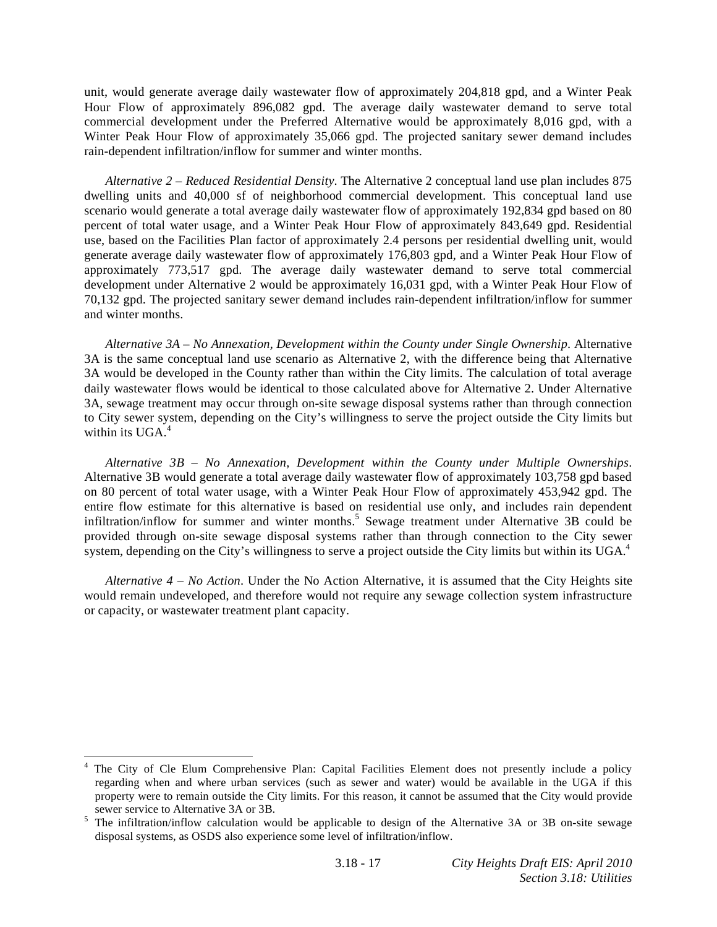unit, would generate average daily wastewater flow of approximately 204,818 gpd, and a Winter Peak Hour Flow of approximately 896,082 gpd. The average daily wastewater demand to serve total commercial development under the Preferred Alternative would be approximately 8,016 gpd, with a Winter Peak Hour Flow of approximately 35,066 gpd. The projected sanitary sewer demand includes rain-dependent infiltration/inflow for summer and winter months.

*Alternative 2 – Reduced Residential Density*. The Alternative 2 conceptual land use plan includes 875 dwelling units and 40,000 sf of neighborhood commercial development. This conceptual land use scenario would generate a total average daily wastewater flow of approximately 192,834 gpd based on 80 percent of total water usage, and a Winter Peak Hour Flow of approximately 843,649 gpd. Residential use, based on the Facilities Plan factor of approximately 2.4 persons per residential dwelling unit, would generate average daily wastewater flow of approximately 176,803 gpd, and a Winter Peak Hour Flow of approximately 773,517 gpd. The average daily wastewater demand to serve total commercial development under Alternative 2 would be approximately 16,031 gpd, with a Winter Peak Hour Flow of 70,132 gpd. The projected sanitary sewer demand includes rain-dependent infiltration/inflow for summer and winter months.

*Alternative 3A – No Annexation, Development within the County under Single Ownership*. Alternative 3A is the same conceptual land use scenario as Alternative 2, with the difference being that Alternative 3A would be developed in the County rather than within the City limits. The calculation of total average daily wastewater flows would be identical to those calculated above for Alternative 2. Under Alternative 3A, sewage treatment may occur through on-site sewage disposal systems rather than through connection to City sewer system, depending on the City's willingness to serve the project outside the City limits but within its UGA.<sup>4</sup>

*Alternative 3B – No Annexation, Development within the County under Multiple Ownerships*. Alternative 3B would generate a total average daily wastewater flow of approximately 103,758 gpd based on 80 percent of total water usage, with a Winter Peak Hour Flow of approximately 453,942 gpd. The entire flow estimate for this alternative is based on residential use only, and includes rain dependent infiltration/inflow for summer and winter months.<sup>5</sup> Sewage treatment under Alternative 3B could be provided through on-site sewage disposal systems rather than through connection to the City sewer system, depending on the City's willingness to serve a project outside the City limits but within its UGA.<sup>4</sup>

*Alternative 4 – No Action*. Under the No Action Alternative, it is assumed that the City Heights site would remain undeveloped, and therefore would not require any sewage collection system infrastructure or capacity, or wastewater treatment plant capacity.

l

<sup>4</sup> The City of Cle Elum Comprehensive Plan: Capital Facilities Element does not presently include a policy regarding when and where urban services (such as sewer and water) would be available in the UGA if this property were to remain outside the City limits. For this reason, it cannot be assumed that the City would provide

sewer service to Alternative 3A or 3B.<br><sup>5</sup> The infiltration/inflow calculation would be applicable to design of the Alternative 3A or 3B on-site sewage disposal systems, as OSDS also experience some level of infiltration/inflow.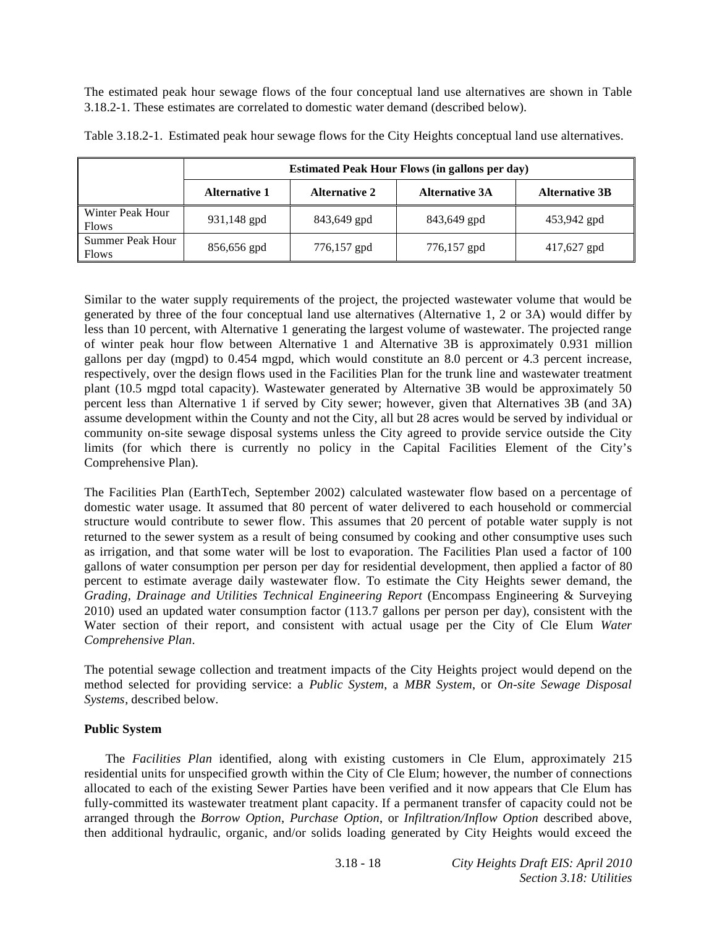The estimated peak hour sewage flows of the four conceptual land use alternatives are shown in Table 3.18.2-1. These estimates are correlated to domestic water demand (described below).

|                                  | <b>Estimated Peak Hour Flows (in gallons per day)</b> |                      |                       |                       |  |  |  |
|----------------------------------|-------------------------------------------------------|----------------------|-----------------------|-----------------------|--|--|--|
|                                  | <b>Alternative 1</b>                                  | <b>Alternative 2</b> | <b>Alternative 3A</b> | <b>Alternative 3B</b> |  |  |  |
| Winter Peak Hour<br><b>Flows</b> | 931,148 gpd                                           | 843,649 gpd          | 843,649 gpd           | 453,942 gpd           |  |  |  |
| Summer Peak Hour<br><b>Flows</b> | 856,656 gpd                                           | 776,157 gpd          | 776,157 gpd           | 417,627 gpd           |  |  |  |

Table 3.18.2-1. Estimated peak hour sewage flows for the City Heights conceptual land use alternatives.

Similar to the water supply requirements of the project, the projected wastewater volume that would be generated by three of the four conceptual land use alternatives (Alternative 1, 2 or 3A) would differ by less than 10 percent, with Alternative 1 generating the largest volume of wastewater. The projected range of winter peak hour flow between Alternative 1 and Alternative 3B is approximately 0.931 million gallons per day (mgpd) to 0.454 mgpd, which would constitute an 8.0 percent or 4.3 percent increase, respectively, over the design flows used in the Facilities Plan for the trunk line and wastewater treatment plant (10.5 mgpd total capacity). Wastewater generated by Alternative 3B would be approximately 50 percent less than Alternative 1 if served by City sewer; however, given that Alternatives 3B (and 3A) assume development within the County and not the City, all but 28 acres would be served by individual or community on-site sewage disposal systems unless the City agreed to provide service outside the City limits (for which there is currently no policy in the Capital Facilities Element of the City's Comprehensive Plan).

The Facilities Plan (EarthTech, September 2002) calculated wastewater flow based on a percentage of domestic water usage. It assumed that 80 percent of water delivered to each household or commercial structure would contribute to sewer flow. This assumes that 20 percent of potable water supply is not returned to the sewer system as a result of being consumed by cooking and other consumptive uses such as irrigation, and that some water will be lost to evaporation. The Facilities Plan used a factor of 100 gallons of water consumption per person per day for residential development, then applied a factor of 80 percent to estimate average daily wastewater flow. To estimate the City Heights sewer demand, the *Grading, Drainage and Utilities Technical Engineering Report* (Encompass Engineering & Surveying 2010) used an updated water consumption factor (113.7 gallons per person per day), consistent with the Water section of their report, and consistent with actual usage per the City of Cle Elum *Water Comprehensive Plan*.

The potential sewage collection and treatment impacts of the City Heights project would depend on the method selected for providing service: a *Public System*, a *MBR System*, or *On-site Sewage Disposal Systems*, described below.

# **Public System**

 The *Facilities Plan* identified, along with existing customers in Cle Elum, approximately 215 residential units for unspecified growth within the City of Cle Elum; however, the number of connections allocated to each of the existing Sewer Parties have been verified and it now appears that Cle Elum has fully-committed its wastewater treatment plant capacity. If a permanent transfer of capacity could not be arranged through the *Borrow Option*, *Purchase Option*, or *Infiltration/Inflow Option* described above, then additional hydraulic, organic, and/or solids loading generated by City Heights would exceed the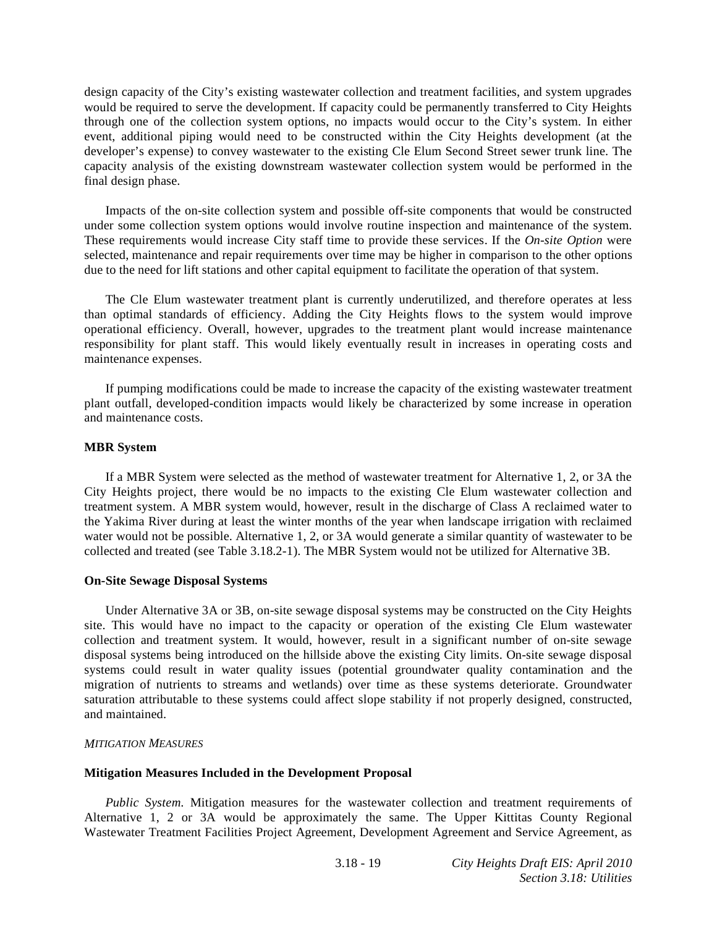design capacity of the City's existing wastewater collection and treatment facilities, and system upgrades would be required to serve the development. If capacity could be permanently transferred to City Heights through one of the collection system options, no impacts would occur to the City's system. In either event, additional piping would need to be constructed within the City Heights development (at the developer's expense) to convey wastewater to the existing Cle Elum Second Street sewer trunk line. The capacity analysis of the existing downstream wastewater collection system would be performed in the final design phase.

 Impacts of the on-site collection system and possible off-site components that would be constructed under some collection system options would involve routine inspection and maintenance of the system. These requirements would increase City staff time to provide these services. If the *On-site Option* were selected, maintenance and repair requirements over time may be higher in comparison to the other options due to the need for lift stations and other capital equipment to facilitate the operation of that system.

 The Cle Elum wastewater treatment plant is currently underutilized, and therefore operates at less than optimal standards of efficiency. Adding the City Heights flows to the system would improve operational efficiency. Overall, however, upgrades to the treatment plant would increase maintenance responsibility for plant staff. This would likely eventually result in increases in operating costs and maintenance expenses.

 If pumping modifications could be made to increase the capacity of the existing wastewater treatment plant outfall, developed-condition impacts would likely be characterized by some increase in operation and maintenance costs.

#### **MBR System**

 If a MBR System were selected as the method of wastewater treatment for Alternative 1, 2, or 3A the City Heights project, there would be no impacts to the existing Cle Elum wastewater collection and treatment system. A MBR system would, however, result in the discharge of Class A reclaimed water to the Yakima River during at least the winter months of the year when landscape irrigation with reclaimed water would not be possible. Alternative 1, 2, or 3A would generate a similar quantity of wastewater to be collected and treated (see Table 3.18.2-1). The MBR System would not be utilized for Alternative 3B.

#### **On-Site Sewage Disposal Systems**

 Under Alternative 3A or 3B, on-site sewage disposal systems may be constructed on the City Heights site. This would have no impact to the capacity or operation of the existing Cle Elum wastewater collection and treatment system. It would, however, result in a significant number of on-site sewage disposal systems being introduced on the hillside above the existing City limits. On-site sewage disposal systems could result in water quality issues (potential groundwater quality contamination and the migration of nutrients to streams and wetlands) over time as these systems deteriorate. Groundwater saturation attributable to these systems could affect slope stability if not properly designed, constructed, and maintained.

# *MITIGATION MEASURES*

# **Mitigation Measures Included in the Development Proposal**

*Public System*. Mitigation measures for the wastewater collection and treatment requirements of Alternative 1, 2 or 3A would be approximately the same. The Upper Kittitas County Regional Wastewater Treatment Facilities Project Agreement, Development Agreement and Service Agreement, as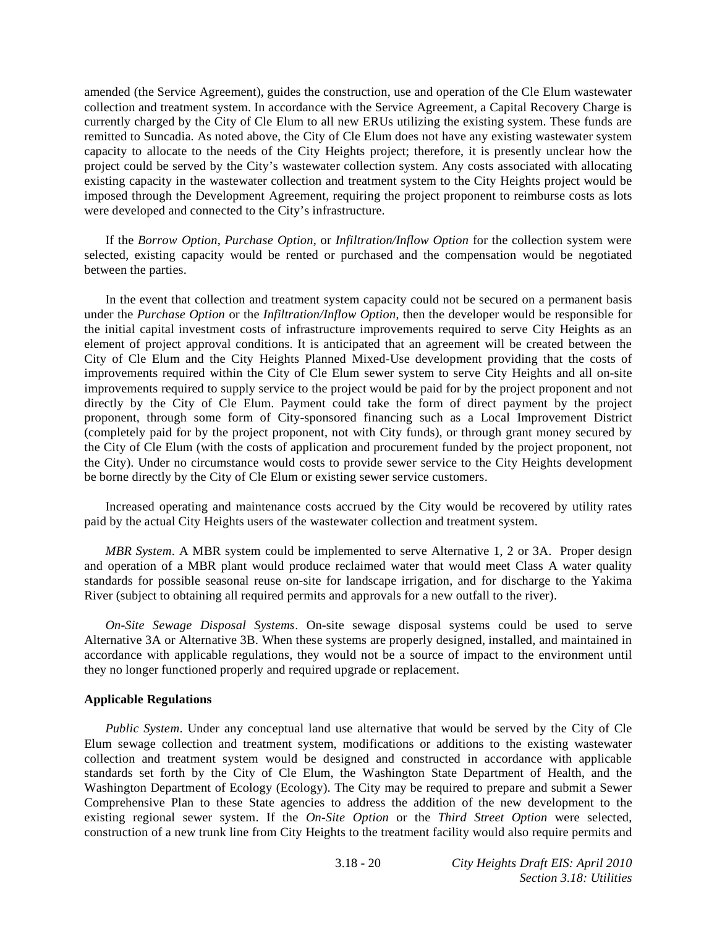amended (the Service Agreement), guides the construction, use and operation of the Cle Elum wastewater collection and treatment system. In accordance with the Service Agreement, a Capital Recovery Charge is currently charged by the City of Cle Elum to all new ERUs utilizing the existing system. These funds are remitted to Suncadia. As noted above, the City of Cle Elum does not have any existing wastewater system capacity to allocate to the needs of the City Heights project; therefore, it is presently unclear how the project could be served by the City's wastewater collection system. Any costs associated with allocating existing capacity in the wastewater collection and treatment system to the City Heights project would be imposed through the Development Agreement, requiring the project proponent to reimburse costs as lots were developed and connected to the City's infrastructure.

 If the *Borrow Option*, *Purchase Option*, or *Infiltration/Inflow Option* for the collection system were selected, existing capacity would be rented or purchased and the compensation would be negotiated between the parties.

 In the event that collection and treatment system capacity could not be secured on a permanent basis under the *Purchase Option* or the *Infiltration/Inflow Option*, then the developer would be responsible for the initial capital investment costs of infrastructure improvements required to serve City Heights as an element of project approval conditions. It is anticipated that an agreement will be created between the City of Cle Elum and the City Heights Planned Mixed-Use development providing that the costs of improvements required within the City of Cle Elum sewer system to serve City Heights and all on-site improvements required to supply service to the project would be paid for by the project proponent and not directly by the City of Cle Elum. Payment could take the form of direct payment by the project proponent, through some form of City-sponsored financing such as a Local Improvement District (completely paid for by the project proponent, not with City funds), or through grant money secured by the City of Cle Elum (with the costs of application and procurement funded by the project proponent, not the City). Under no circumstance would costs to provide sewer service to the City Heights development be borne directly by the City of Cle Elum or existing sewer service customers.

 Increased operating and maintenance costs accrued by the City would be recovered by utility rates paid by the actual City Heights users of the wastewater collection and treatment system.

*MBR System*. A MBR system could be implemented to serve Alternative 1, 2 or 3A. Proper design and operation of a MBR plant would produce reclaimed water that would meet Class A water quality standards for possible seasonal reuse on-site for landscape irrigation, and for discharge to the Yakima River (subject to obtaining all required permits and approvals for a new outfall to the river).

*On-Site Sewage Disposal Systems*. On-site sewage disposal systems could be used to serve Alternative 3A or Alternative 3B. When these systems are properly designed, installed, and maintained in accordance with applicable regulations, they would not be a source of impact to the environment until they no longer functioned properly and required upgrade or replacement.

#### **Applicable Regulations**

*Public System*. Under any conceptual land use alternative that would be served by the City of Cle Elum sewage collection and treatment system, modifications or additions to the existing wastewater collection and treatment system would be designed and constructed in accordance with applicable standards set forth by the City of Cle Elum, the Washington State Department of Health, and the Washington Department of Ecology (Ecology). The City may be required to prepare and submit a Sewer Comprehensive Plan to these State agencies to address the addition of the new development to the existing regional sewer system. If the *On-Site Option* or the *Third Street Option* were selected, construction of a new trunk line from City Heights to the treatment facility would also require permits and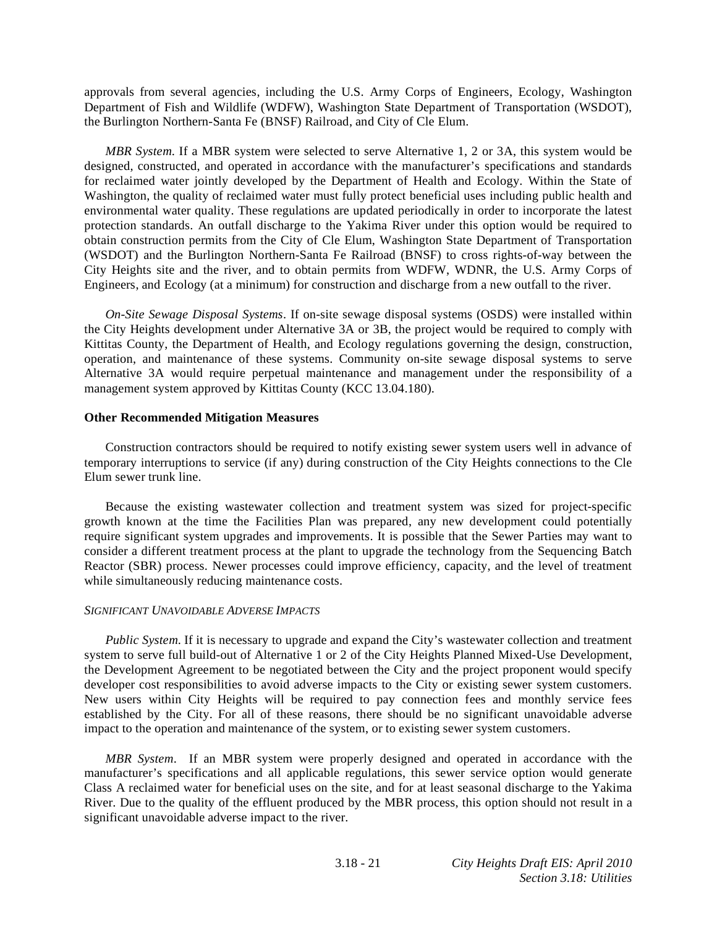approvals from several agencies, including the U.S. Army Corps of Engineers, Ecology, Washington Department of Fish and Wildlife (WDFW), Washington State Department of Transportation (WSDOT), the Burlington Northern-Santa Fe (BNSF) Railroad, and City of Cle Elum.

*MBR System*. If a MBR system were selected to serve Alternative 1, 2 or 3A, this system would be designed, constructed, and operated in accordance with the manufacturer's specifications and standards for reclaimed water jointly developed by the Department of Health and Ecology. Within the State of Washington, the quality of reclaimed water must fully protect beneficial uses including public health and environmental water quality. These regulations are updated periodically in order to incorporate the latest protection standards. An outfall discharge to the Yakima River under this option would be required to obtain construction permits from the City of Cle Elum, Washington State Department of Transportation (WSDOT) and the Burlington Northern-Santa Fe Railroad (BNSF) to cross rights-of-way between the City Heights site and the river, and to obtain permits from WDFW, WDNR, the U.S. Army Corps of Engineers, and Ecology (at a minimum) for construction and discharge from a new outfall to the river.

*On-Site Sewage Disposal Systems*. If on-site sewage disposal systems (OSDS) were installed within the City Heights development under Alternative 3A or 3B, the project would be required to comply with Kittitas County, the Department of Health, and Ecology regulations governing the design, construction, operation, and maintenance of these systems. Community on-site sewage disposal systems to serve Alternative 3A would require perpetual maintenance and management under the responsibility of a management system approved by Kittitas County (KCC 13.04.180).

#### **Other Recommended Mitigation Measures**

 Construction contractors should be required to notify existing sewer system users well in advance of temporary interruptions to service (if any) during construction of the City Heights connections to the Cle Elum sewer trunk line.

 Because the existing wastewater collection and treatment system was sized for project-specific growth known at the time the Facilities Plan was prepared, any new development could potentially require significant system upgrades and improvements. It is possible that the Sewer Parties may want to consider a different treatment process at the plant to upgrade the technology from the Sequencing Batch Reactor (SBR) process. Newer processes could improve efficiency, capacity, and the level of treatment while simultaneously reducing maintenance costs.

#### *SIGNIFICANT UNAVOIDABLE ADVERSE IMPACTS*

*Public System*. If it is necessary to upgrade and expand the City's wastewater collection and treatment system to serve full build-out of Alternative 1 or 2 of the City Heights Planned Mixed-Use Development, the Development Agreement to be negotiated between the City and the project proponent would specify developer cost responsibilities to avoid adverse impacts to the City or existing sewer system customers. New users within City Heights will be required to pay connection fees and monthly service fees established by the City. For all of these reasons, there should be no significant unavoidable adverse impact to the operation and maintenance of the system, or to existing sewer system customers.

*MBR System*. If an MBR system were properly designed and operated in accordance with the manufacturer's specifications and all applicable regulations, this sewer service option would generate Class A reclaimed water for beneficial uses on the site, and for at least seasonal discharge to the Yakima River. Due to the quality of the effluent produced by the MBR process, this option should not result in a significant unavoidable adverse impact to the river.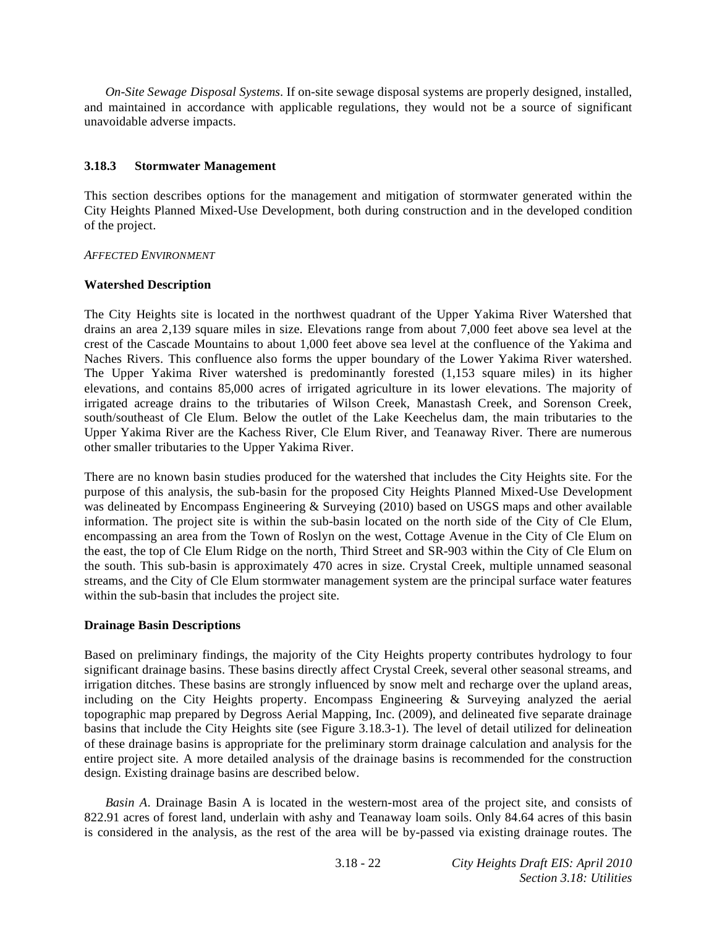*On-Site Sewage Disposal Systems*. If on-site sewage disposal systems are properly designed, installed, and maintained in accordance with applicable regulations, they would not be a source of significant unavoidable adverse impacts.

# **3.18.3 Stormwater Management**

This section describes options for the management and mitigation of stormwater generated within the City Heights Planned Mixed-Use Development, both during construction and in the developed condition of the project.

# *AFFECTED ENVIRONMENT*

#### **Watershed Description**

The City Heights site is located in the northwest quadrant of the Upper Yakima River Watershed that drains an area 2,139 square miles in size. Elevations range from about 7,000 feet above sea level at the crest of the Cascade Mountains to about 1,000 feet above sea level at the confluence of the Yakima and Naches Rivers. This confluence also forms the upper boundary of the Lower Yakima River watershed. The Upper Yakima River watershed is predominantly forested (1,153 square miles) in its higher elevations, and contains 85,000 acres of irrigated agriculture in its lower elevations. The majority of irrigated acreage drains to the tributaries of Wilson Creek, Manastash Creek, and Sorenson Creek, south/southeast of Cle Elum. Below the outlet of the Lake Keechelus dam, the main tributaries to the Upper Yakima River are the Kachess River, Cle Elum River, and Teanaway River. There are numerous other smaller tributaries to the Upper Yakima River.

There are no known basin studies produced for the watershed that includes the City Heights site. For the purpose of this analysis, the sub-basin for the proposed City Heights Planned Mixed-Use Development was delineated by Encompass Engineering & Surveying (2010) based on USGS maps and other available information. The project site is within the sub-basin located on the north side of the City of Cle Elum, encompassing an area from the Town of Roslyn on the west, Cottage Avenue in the City of Cle Elum on the east, the top of Cle Elum Ridge on the north, Third Street and SR-903 within the City of Cle Elum on the south. This sub-basin is approximately 470 acres in size. Crystal Creek, multiple unnamed seasonal streams, and the City of Cle Elum stormwater management system are the principal surface water features within the sub-basin that includes the project site.

# **Drainage Basin Descriptions**

Based on preliminary findings, the majority of the City Heights property contributes hydrology to four significant drainage basins. These basins directly affect Crystal Creek, several other seasonal streams, and irrigation ditches. These basins are strongly influenced by snow melt and recharge over the upland areas, including on the City Heights property. Encompass Engineering & Surveying analyzed the aerial topographic map prepared by Degross Aerial Mapping, Inc. (2009), and delineated five separate drainage basins that include the City Heights site (see Figure 3.18.3-1). The level of detail utilized for delineation of these drainage basins is appropriate for the preliminary storm drainage calculation and analysis for the entire project site. A more detailed analysis of the drainage basins is recommended for the construction design. Existing drainage basins are described below.

*Basin A*. Drainage Basin A is located in the western-most area of the project site, and consists of 822.91 acres of forest land, underlain with ashy and Teanaway loam soils. Only 84.64 acres of this basin is considered in the analysis, as the rest of the area will be by-passed via existing drainage routes. The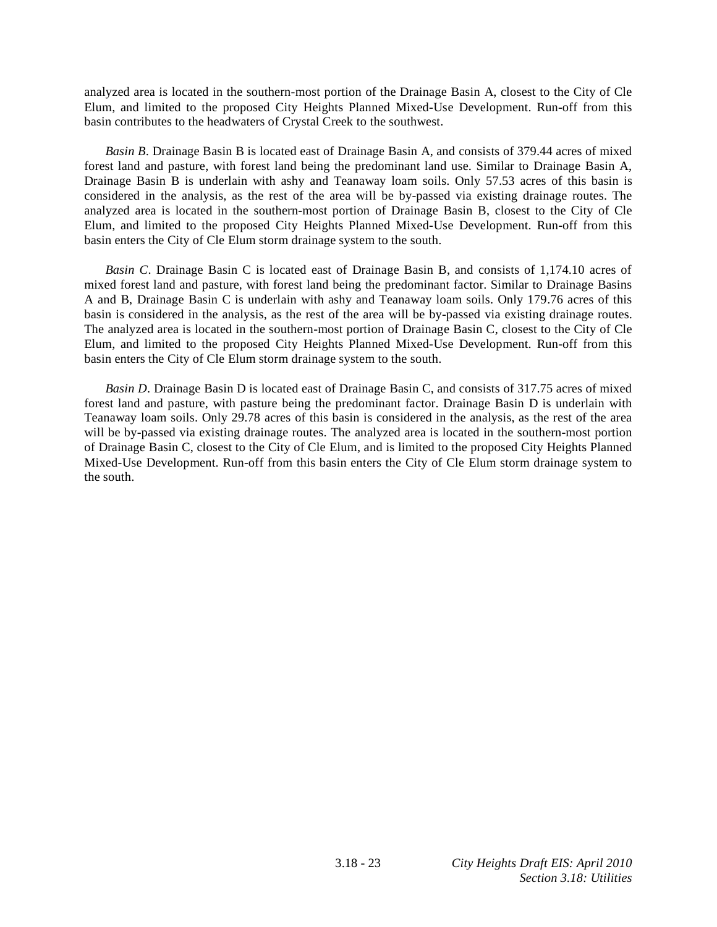analyzed area is located in the southern-most portion of the Drainage Basin A, closest to the City of Cle Elum, and limited to the proposed City Heights Planned Mixed-Use Development. Run-off from this basin contributes to the headwaters of Crystal Creek to the southwest.

*Basin B*. Drainage Basin B is located east of Drainage Basin A, and consists of 379.44 acres of mixed forest land and pasture, with forest land being the predominant land use. Similar to Drainage Basin A, Drainage Basin B is underlain with ashy and Teanaway loam soils. Only 57.53 acres of this basin is considered in the analysis, as the rest of the area will be by-passed via existing drainage routes. The analyzed area is located in the southern-most portion of Drainage Basin B, closest to the City of Cle Elum, and limited to the proposed City Heights Planned Mixed-Use Development. Run-off from this basin enters the City of Cle Elum storm drainage system to the south.

*Basin C*. Drainage Basin C is located east of Drainage Basin B, and consists of 1,174.10 acres of mixed forest land and pasture, with forest land being the predominant factor. Similar to Drainage Basins A and B, Drainage Basin C is underlain with ashy and Teanaway loam soils. Only 179.76 acres of this basin is considered in the analysis, as the rest of the area will be by-passed via existing drainage routes. The analyzed area is located in the southern-most portion of Drainage Basin C, closest to the City of Cle Elum, and limited to the proposed City Heights Planned Mixed-Use Development. Run-off from this basin enters the City of Cle Elum storm drainage system to the south.

*Basin D*. Drainage Basin D is located east of Drainage Basin C, and consists of 317.75 acres of mixed forest land and pasture, with pasture being the predominant factor. Drainage Basin D is underlain with Teanaway loam soils. Only 29.78 acres of this basin is considered in the analysis, as the rest of the area will be by-passed via existing drainage routes. The analyzed area is located in the southern-most portion of Drainage Basin C, closest to the City of Cle Elum, and is limited to the proposed City Heights Planned Mixed-Use Development. Run-off from this basin enters the City of Cle Elum storm drainage system to the south.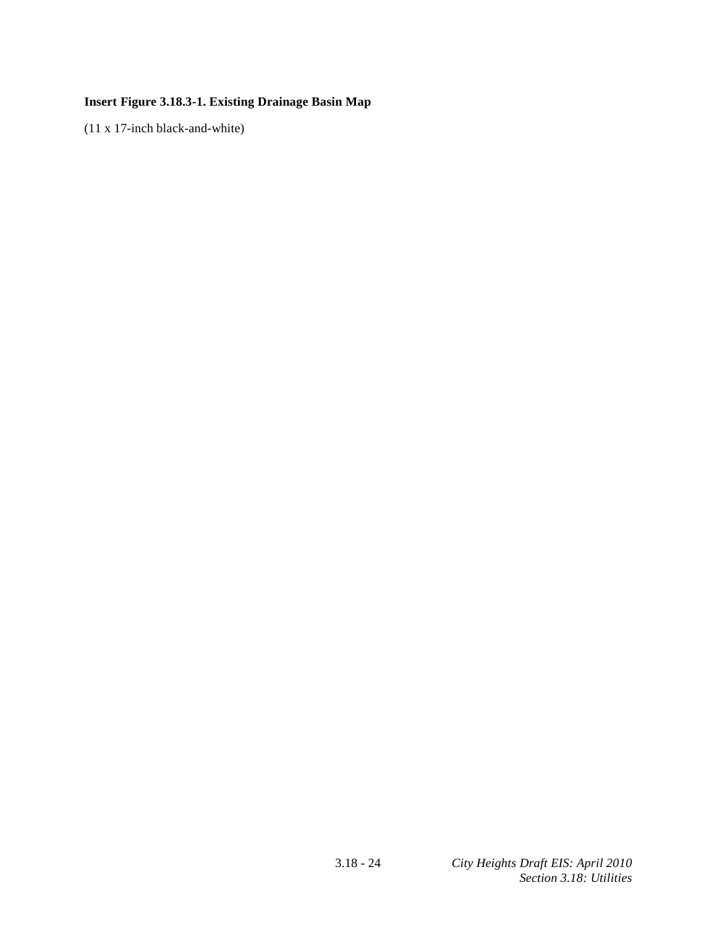# **Insert Figure 3.18.3-1. Existing Drainage Basin Map**

(11 x 17-inch black-and-white)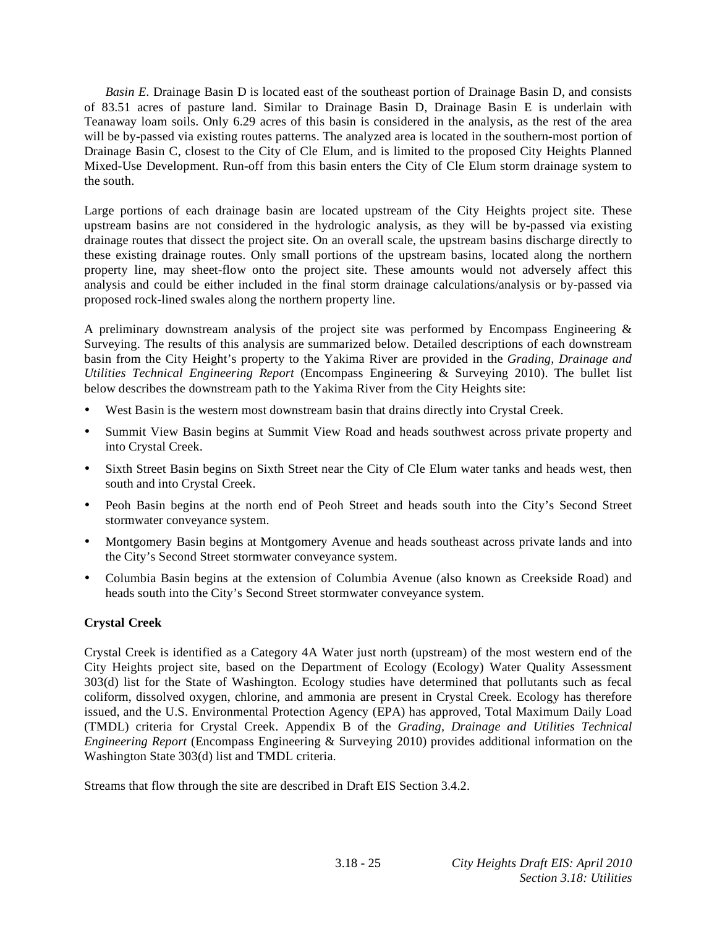*Basin E*. Drainage Basin D is located east of the southeast portion of Drainage Basin D, and consists of 83.51 acres of pasture land. Similar to Drainage Basin D, Drainage Basin E is underlain with Teanaway loam soils. Only 6.29 acres of this basin is considered in the analysis, as the rest of the area will be by-passed via existing routes patterns. The analyzed area is located in the southern-most portion of Drainage Basin C, closest to the City of Cle Elum, and is limited to the proposed City Heights Planned Mixed-Use Development. Run-off from this basin enters the City of Cle Elum storm drainage system to the south.

Large portions of each drainage basin are located upstream of the City Heights project site. These upstream basins are not considered in the hydrologic analysis, as they will be by-passed via existing drainage routes that dissect the project site. On an overall scale, the upstream basins discharge directly to these existing drainage routes. Only small portions of the upstream basins, located along the northern property line, may sheet-flow onto the project site. These amounts would not adversely affect this analysis and could be either included in the final storm drainage calculations/analysis or by-passed via proposed rock-lined swales along the northern property line.

A preliminary downstream analysis of the project site was performed by Encompass Engineering  $\&$ Surveying. The results of this analysis are summarized below. Detailed descriptions of each downstream basin from the City Height's property to the Yakima River are provided in the *Grading, Drainage and Utilities Technical Engineering Report* (Encompass Engineering & Surveying 2010). The bullet list below describes the downstream path to the Yakima River from the City Heights site:

- West Basin is the western most downstream basin that drains directly into Crystal Creek.
- Summit View Basin begins at Summit View Road and heads southwest across private property and into Crystal Creek.
- Sixth Street Basin begins on Sixth Street near the City of Cle Elum water tanks and heads west, then south and into Crystal Creek.
- Peoh Basin begins at the north end of Peoh Street and heads south into the City's Second Street stormwater conveyance system.
- Montgomery Basin begins at Montgomery Avenue and heads southeast across private lands and into the City's Second Street stormwater conveyance system.
- Columbia Basin begins at the extension of Columbia Avenue (also known as Creekside Road) and heads south into the City's Second Street stormwater conveyance system.

# **Crystal Creek**

Crystal Creek is identified as a Category 4A Water just north (upstream) of the most western end of the City Heights project site, based on the Department of Ecology (Ecology) Water Quality Assessment 303(d) list for the State of Washington. Ecology studies have determined that pollutants such as fecal coliform, dissolved oxygen, chlorine, and ammonia are present in Crystal Creek. Ecology has therefore issued, and the U.S. Environmental Protection Agency (EPA) has approved, Total Maximum Daily Load (TMDL) criteria for Crystal Creek. Appendix B of the *Grading, Drainage and Utilities Technical Engineering Report* (Encompass Engineering & Surveying 2010) provides additional information on the Washington State 303(d) list and TMDL criteria.

Streams that flow through the site are described in Draft EIS Section 3.4.2.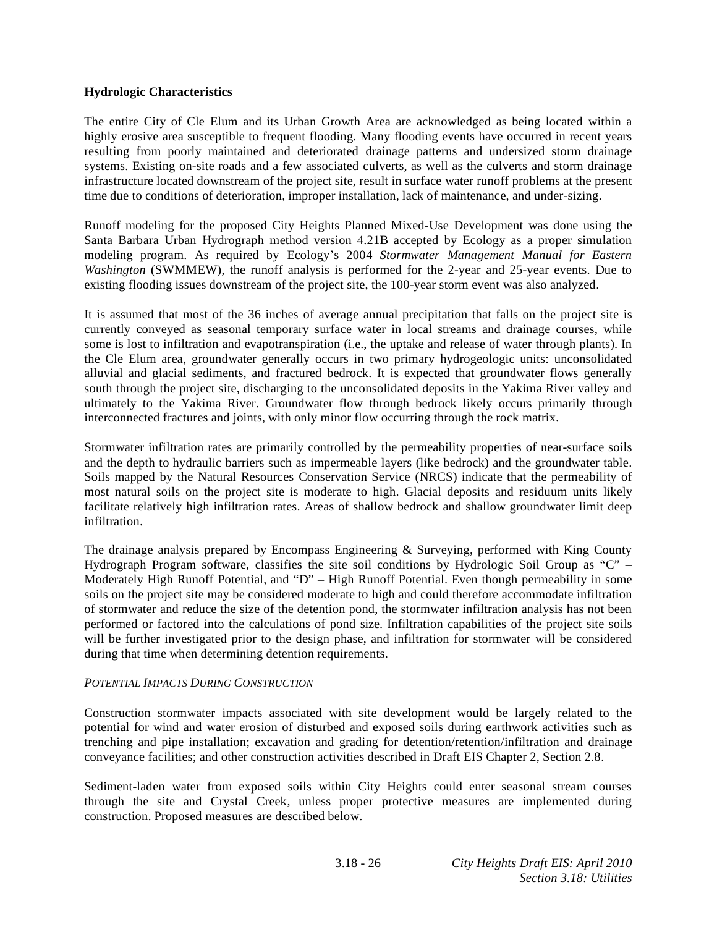# **Hydrologic Characteristics**

The entire City of Cle Elum and its Urban Growth Area are acknowledged as being located within a highly erosive area susceptible to frequent flooding. Many flooding events have occurred in recent years resulting from poorly maintained and deteriorated drainage patterns and undersized storm drainage systems. Existing on-site roads and a few associated culverts, as well as the culverts and storm drainage infrastructure located downstream of the project site, result in surface water runoff problems at the present time due to conditions of deterioration, improper installation, lack of maintenance, and under-sizing.

Runoff modeling for the proposed City Heights Planned Mixed-Use Development was done using the Santa Barbara Urban Hydrograph method version 4.21B accepted by Ecology as a proper simulation modeling program. As required by Ecology's 2004 *Stormwater Management Manual for Eastern Washington* (SWMMEW), the runoff analysis is performed for the 2-year and 25-year events. Due to existing flooding issues downstream of the project site, the 100-year storm event was also analyzed.

It is assumed that most of the 36 inches of average annual precipitation that falls on the project site is currently conveyed as seasonal temporary surface water in local streams and drainage courses, while some is lost to infiltration and evapotranspiration (i.e., the uptake and release of water through plants). In the Cle Elum area, groundwater generally occurs in two primary hydrogeologic units: unconsolidated alluvial and glacial sediments, and fractured bedrock. It is expected that groundwater flows generally south through the project site, discharging to the unconsolidated deposits in the Yakima River valley and ultimately to the Yakima River. Groundwater flow through bedrock likely occurs primarily through interconnected fractures and joints, with only minor flow occurring through the rock matrix.

Stormwater infiltration rates are primarily controlled by the permeability properties of near-surface soils and the depth to hydraulic barriers such as impermeable layers (like bedrock) and the groundwater table. Soils mapped by the Natural Resources Conservation Service (NRCS) indicate that the permeability of most natural soils on the project site is moderate to high. Glacial deposits and residuum units likely facilitate relatively high infiltration rates. Areas of shallow bedrock and shallow groundwater limit deep infiltration.

The drainage analysis prepared by Encompass Engineering & Surveying, performed with King County Hydrograph Program software, classifies the site soil conditions by Hydrologic Soil Group as "C" – Moderately High Runoff Potential, and "D" – High Runoff Potential. Even though permeability in some soils on the project site may be considered moderate to high and could therefore accommodate infiltration of stormwater and reduce the size of the detention pond, the stormwater infiltration analysis has not been performed or factored into the calculations of pond size. Infiltration capabilities of the project site soils will be further investigated prior to the design phase, and infiltration for stormwater will be considered during that time when determining detention requirements.

# *POTENTIAL IMPACTS DURING CONSTRUCTION*

Construction stormwater impacts associated with site development would be largely related to the potential for wind and water erosion of disturbed and exposed soils during earthwork activities such as trenching and pipe installation; excavation and grading for detention/retention/infiltration and drainage conveyance facilities; and other construction activities described in Draft EIS Chapter 2, Section 2.8.

Sediment-laden water from exposed soils within City Heights could enter seasonal stream courses through the site and Crystal Creek, unless proper protective measures are implemented during construction. Proposed measures are described below.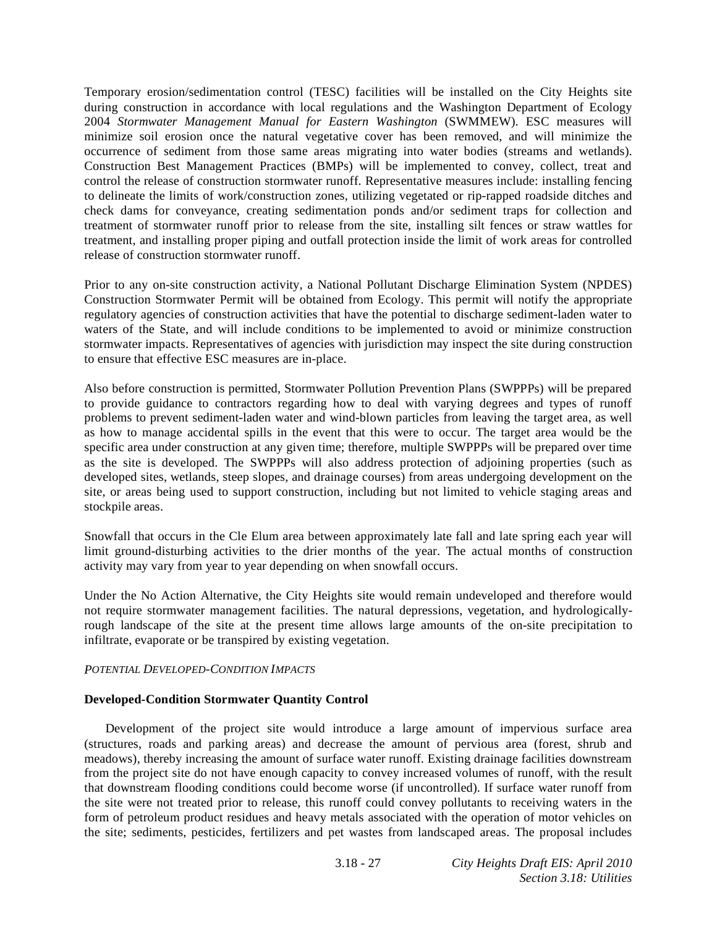Temporary erosion/sedimentation control (TESC) facilities will be installed on the City Heights site during construction in accordance with local regulations and the Washington Department of Ecology 2004 *Stormwater Management Manual for Eastern Washington* (SWMMEW). ESC measures will minimize soil erosion once the natural vegetative cover has been removed, and will minimize the occurrence of sediment from those same areas migrating into water bodies (streams and wetlands). Construction Best Management Practices (BMPs) will be implemented to convey, collect, treat and control the release of construction stormwater runoff. Representative measures include: installing fencing to delineate the limits of work/construction zones, utilizing vegetated or rip-rapped roadside ditches and check dams for conveyance, creating sedimentation ponds and/or sediment traps for collection and treatment of stormwater runoff prior to release from the site, installing silt fences or straw wattles for treatment, and installing proper piping and outfall protection inside the limit of work areas for controlled release of construction stormwater runoff.

Prior to any on-site construction activity, a National Pollutant Discharge Elimination System (NPDES) Construction Stormwater Permit will be obtained from Ecology. This permit will notify the appropriate regulatory agencies of construction activities that have the potential to discharge sediment-laden water to waters of the State, and will include conditions to be implemented to avoid or minimize construction stormwater impacts. Representatives of agencies with jurisdiction may inspect the site during construction to ensure that effective ESC measures are in-place.

Also before construction is permitted, Stormwater Pollution Prevention Plans (SWPPPs) will be prepared to provide guidance to contractors regarding how to deal with varying degrees and types of runoff problems to prevent sediment-laden water and wind-blown particles from leaving the target area, as well as how to manage accidental spills in the event that this were to occur. The target area would be the specific area under construction at any given time; therefore, multiple SWPPPs will be prepared over time as the site is developed. The SWPPPs will also address protection of adjoining properties (such as developed sites, wetlands, steep slopes, and drainage courses) from areas undergoing development on the site, or areas being used to support construction, including but not limited to vehicle staging areas and stockpile areas.

Snowfall that occurs in the Cle Elum area between approximately late fall and late spring each year will limit ground-disturbing activities to the drier months of the year. The actual months of construction activity may vary from year to year depending on when snowfall occurs.

Under the No Action Alternative, the City Heights site would remain undeveloped and therefore would not require stormwater management facilities. The natural depressions, vegetation, and hydrologicallyrough landscape of the site at the present time allows large amounts of the on-site precipitation to infiltrate, evaporate or be transpired by existing vegetation.

# *POTENTIAL DEVELOPED-CONDITION IMPACTS*

# **Developed-Condition Stormwater Quantity Control**

 Development of the project site would introduce a large amount of impervious surface area (structures, roads and parking areas) and decrease the amount of pervious area (forest, shrub and meadows), thereby increasing the amount of surface water runoff. Existing drainage facilities downstream from the project site do not have enough capacity to convey increased volumes of runoff, with the result that downstream flooding conditions could become worse (if uncontrolled). If surface water runoff from the site were not treated prior to release, this runoff could convey pollutants to receiving waters in the form of petroleum product residues and heavy metals associated with the operation of motor vehicles on the site; sediments, pesticides, fertilizers and pet wastes from landscaped areas. The proposal includes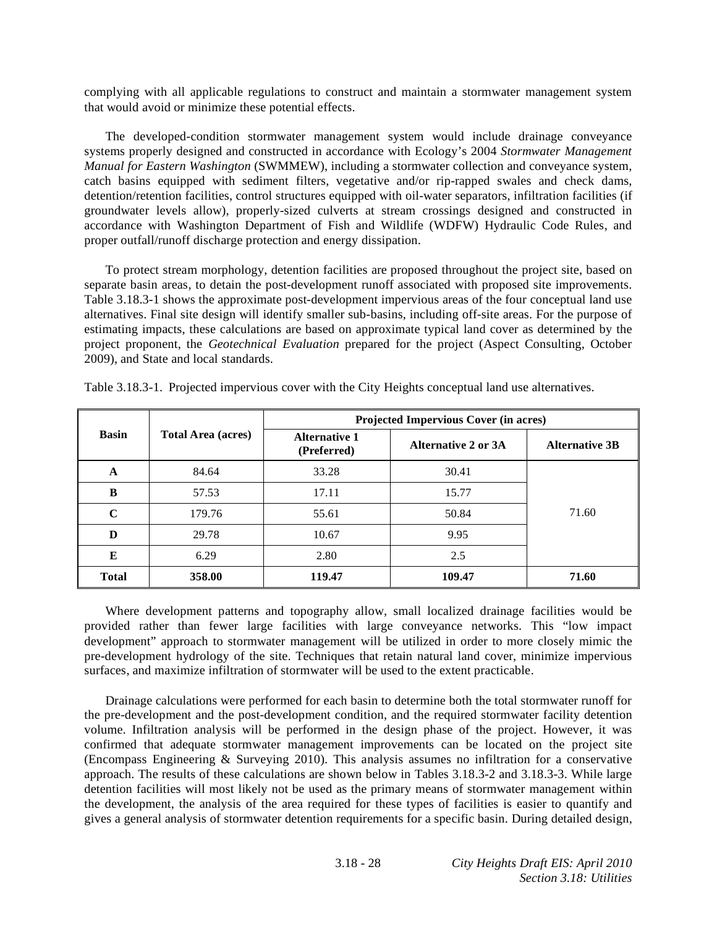complying with all applicable regulations to construct and maintain a stormwater management system that would avoid or minimize these potential effects.

 The developed-condition stormwater management system would include drainage conveyance systems properly designed and constructed in accordance with Ecology's 2004 *Stormwater Management Manual for Eastern Washington* (SWMMEW), including a stormwater collection and conveyance system, catch basins equipped with sediment filters, vegetative and/or rip-rapped swales and check dams, detention/retention facilities, control structures equipped with oil-water separators, infiltration facilities (if groundwater levels allow), properly-sized culverts at stream crossings designed and constructed in accordance with Washington Department of Fish and Wildlife (WDFW) Hydraulic Code Rules, and proper outfall/runoff discharge protection and energy dissipation.

 To protect stream morphology, detention facilities are proposed throughout the project site, based on separate basin areas, to detain the post-development runoff associated with proposed site improvements. Table 3.18.3-1 shows the approximate post-development impervious areas of the four conceptual land use alternatives. Final site design will identify smaller sub-basins, including off-site areas. For the purpose of estimating impacts, these calculations are based on approximate typical land cover as determined by the project proponent, the *Geotechnical Evaluation* prepared for the project (Aspect Consulting, October 2009), and State and local standards.

|              |                           | Projected Impervious Cover (in acres) |                     |                       |  |  |
|--------------|---------------------------|---------------------------------------|---------------------|-----------------------|--|--|
| <b>Basin</b> | <b>Total Area (acres)</b> | <b>Alternative 1</b><br>(Preferred)   | Alternative 2 or 3A | <b>Alternative 3B</b> |  |  |
| A            | 84.64                     | 33.28                                 | 30.41               |                       |  |  |
| B            | 57.53                     | 17.11                                 | 15.77               |                       |  |  |
| $\mathbf C$  | 179.76                    | 55.61                                 | 50.84               | 71.60                 |  |  |
| D            | 29.78                     | 10.67                                 | 9.95                |                       |  |  |
| E            | 6.29                      | 2.80                                  | 2.5                 |                       |  |  |
| <b>Total</b> | 358.00                    | 119.47                                | 109.47              | 71.60                 |  |  |

Table 3.18.3-1. Projected impervious cover with the City Heights conceptual land use alternatives.

 Where development patterns and topography allow, small localized drainage facilities would be provided rather than fewer large facilities with large conveyance networks. This "low impact development" approach to stormwater management will be utilized in order to more closely mimic the pre-development hydrology of the site. Techniques that retain natural land cover, minimize impervious surfaces, and maximize infiltration of stormwater will be used to the extent practicable.

 Drainage calculations were performed for each basin to determine both the total stormwater runoff for the pre-development and the post-development condition, and the required stormwater facility detention volume. Infiltration analysis will be performed in the design phase of the project. However, it was confirmed that adequate stormwater management improvements can be located on the project site (Encompass Engineering & Surveying 2010). This analysis assumes no infiltration for a conservative approach. The results of these calculations are shown below in Tables 3.18.3-2 and 3.18.3-3. While large detention facilities will most likely not be used as the primary means of stormwater management within the development, the analysis of the area required for these types of facilities is easier to quantify and gives a general analysis of stormwater detention requirements for a specific basin. During detailed design,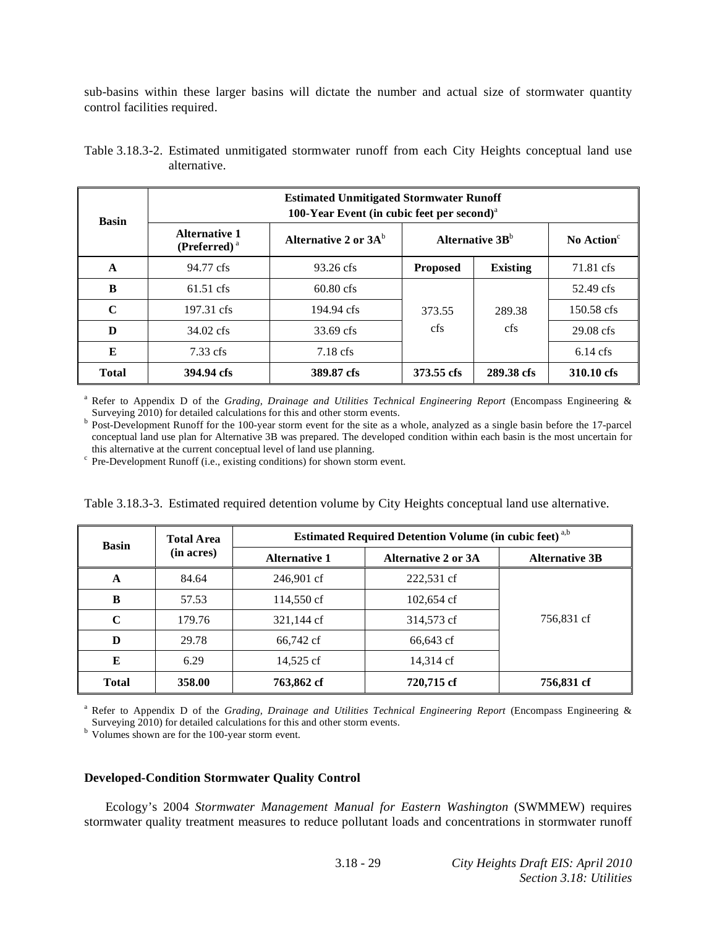sub-basins within these larger basins will dictate the number and actual size of stormwater quantity control facilities required.

| <b>Basin</b> | <b>Estimated Unmitigated Stormwater Runoff</b><br>100-Year Event (in cubic feet per second) $a$ |                         |                 |                             |                        |  |  |
|--------------|-------------------------------------------------------------------------------------------------|-------------------------|-----------------|-----------------------------|------------------------|--|--|
|              | <b>Alternative 1</b><br>$(Preferred)^a$                                                         | Alternative 2 or $3A^b$ |                 | Alternative 3B <sup>b</sup> | No Action <sup>c</sup> |  |  |
| A            | 94.77 cfs                                                                                       | $93.26 \text{ cfs}$     | <b>Proposed</b> | <b>Existing</b>             | 71.81 cfs              |  |  |
| B            | 61.51 cfs                                                                                       | $60.80 \text{ cfs}$     |                 |                             | 52.49 cfs              |  |  |
| $\mathbf C$  | 197.31 cfs                                                                                      | 194.94 cfs              | 373.55<br>cfs   | 289.38<br>cfs               | 150.58 cfs             |  |  |
| D            | 34.02 cfs                                                                                       | 33.69 cfs               |                 |                             | 29.08 cfs              |  |  |
| E            | $7.33 \text{ cfs}$                                                                              | $7.18 \text{ cfs}$      |                 |                             | $6.14 \text{ cfs}$     |  |  |
| <b>Total</b> | 394.94 cfs                                                                                      | 389.87 cfs              | 373.55 cfs      | 289.38 cfs                  | 310.10 cfs             |  |  |

Table 3.18.3-2. Estimated unmitigated stormwater runoff from each City Heights conceptual land use alternative.

<sup>a</sup> Refer to Appendix D of the *Grading, Drainage and Utilities Technical Engineering Report* (Encompass Engineering & Surveying 2010) for detailed calculations for this and other storm events.

**Post-Development Runoff for the 100-year storm event for the site as a whole, analyzed as a single basin before the 17-parcel** conceptual land use plan for Alternative 3B was prepared. The developed condition within each basin is the most uncertain for this alternative at the current conceptual level of land use planning.

 $\degree$  Pre-Development Runoff (i.e., existing conditions) for shown storm event.

| <b>Basin</b> | <b>Total Area</b> | <b>Estimated Required Detention Volume (in cubic feet)</b> a,b |                            |                       |  |
|--------------|-------------------|----------------------------------------------------------------|----------------------------|-----------------------|--|
|              | (in acres)        | <b>Alternative 1</b>                                           | <b>Alternative 2 or 3A</b> | <b>Alternative 3B</b> |  |
| A            | 84.64             | 246,901 cf                                                     | 222,531 cf                 |                       |  |
| B            | 57.53             | 114,550 cf                                                     | 102,654 cf                 |                       |  |
| $\mathbf C$  | 179.76            | 321,144 cf                                                     | 314,573 cf                 | 756,831 cf            |  |
| D            | 29.78             | 66,742 cf                                                      | 66,643 cf                  |                       |  |
| E            | 6.29              | 14,525 cf                                                      | 14,314 cf                  |                       |  |
| <b>Total</b> | 358.00            | 763,862 cf                                                     | 720,715 cf                 | 756,831 cf            |  |

Table 3.18.3-3. Estimated required detention volume by City Heights conceptual land use alternative.

<sup>a</sup> Refer to Appendix D of the *Grading, Drainage and Utilities Technical Engineering Report* (Encompass Engineering & Surveying 2010) for detailed calculations for this and other storm events.<br><sup>b</sup> Volumes shown are for the 100-year storm event.

#### **Developed-Condition Stormwater Quality Control**

 Ecology's 2004 *Stormwater Management Manual for Eastern Washington* (SWMMEW) requires stormwater quality treatment measures to reduce pollutant loads and concentrations in stormwater runoff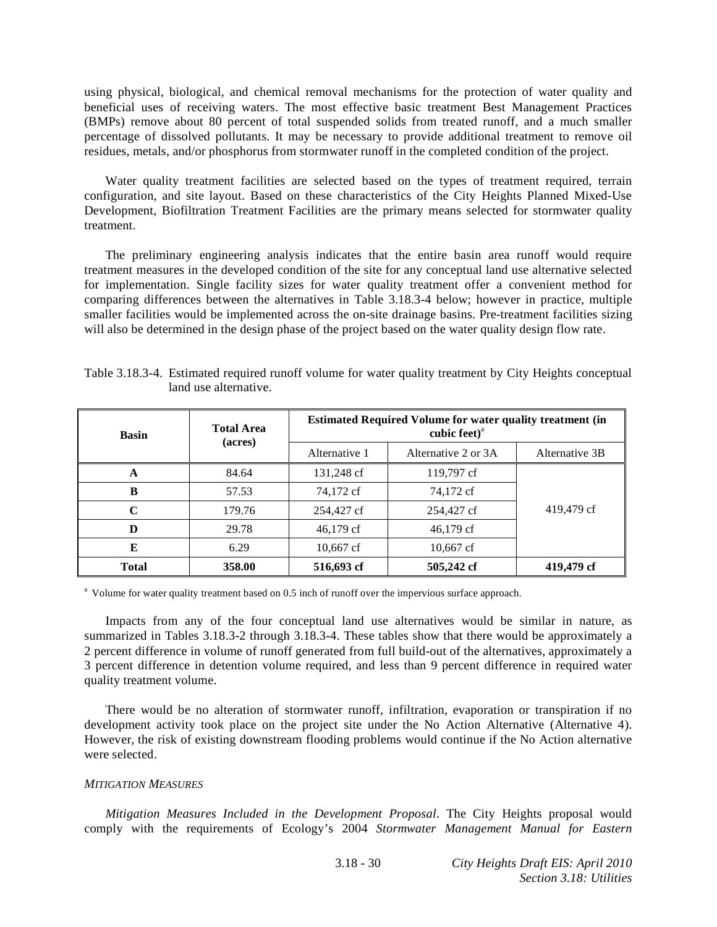using physical, biological, and chemical removal mechanisms for the protection of water quality and beneficial uses of receiving waters. The most effective basic treatment Best Management Practices (BMPs) remove about 80 percent of total suspended solids from treated runoff, and a much smaller percentage of dissolved pollutants. It may be necessary to provide additional treatment to remove oil residues, metals, and/or phosphorus from stormwater runoff in the completed condition of the project.

 Water quality treatment facilities are selected based on the types of treatment required, terrain configuration, and site layout. Based on these characteristics of the City Heights Planned Mixed-Use Development, Biofiltration Treatment Facilities are the primary means selected for stormwater quality treatment.

 The preliminary engineering analysis indicates that the entire basin area runoff would require treatment measures in the developed condition of the site for any conceptual land use alternative selected for implementation. Single facility sizes for water quality treatment offer a convenient method for comparing differences between the alternatives in Table 3.18.3-4 below; however in practice, multiple smaller facilities would be implemented across the on-site drainage basins. Pre-treatment facilities sizing will also be determined in the design phase of the project based on the water quality design flow rate.

| <b>Basin</b> | <b>Total Area</b><br>(acres) | <b>Estimated Required Volume for water quality treatment (in</b><br>cubic feet) <sup>a</sup> |                     |                |  |
|--------------|------------------------------|----------------------------------------------------------------------------------------------|---------------------|----------------|--|
|              |                              | Alternative 1                                                                                | Alternative 2 or 3A | Alternative 3B |  |
| A            | 84.64                        | 131,248 cf                                                                                   | 119,797 cf          |                |  |
| B            | 57.53                        | 74,172 cf                                                                                    | 74,172 cf           |                |  |
| $\mathbf C$  | 179.76                       | 254,427 cf                                                                                   | 254,427 cf          | 419,479 cf     |  |
| D            | 29.78                        | $46,179 \text{ cf}$                                                                          | 46,179 cf           |                |  |
| E            | 6.29                         | $10,667$ cf                                                                                  | $10,667$ cf         |                |  |
| <b>Total</b> | 358.00                       | 516,693 cf                                                                                   | 505,242 cf          | 419,479 cf     |  |

Table 3.18.3-4. Estimated required runoff volume for water quality treatment by City Heights conceptual land use alternative.

<sup>a</sup> Volume for water quality treatment based on 0.5 inch of runoff over the impervious surface approach.

 Impacts from any of the four conceptual land use alternatives would be similar in nature, as summarized in Tables 3.18.3-2 through 3.18.3-4. These tables show that there would be approximately a 2 percent difference in volume of runoff generated from full build-out of the alternatives, approximately a 3 percent difference in detention volume required, and less than 9 percent difference in required water quality treatment volume.

 There would be no alteration of stormwater runoff, infiltration, evaporation or transpiration if no development activity took place on the project site under the No Action Alternative (Alternative 4). However, the risk of existing downstream flooding problems would continue if the No Action alternative were selected.

#### *MITIGATION MEASURES*

*Mitigation Measures Included in the Development Proposal*. The City Heights proposal would comply with the requirements of Ecology's 2004 *Stormwater Management Manual for Eastern*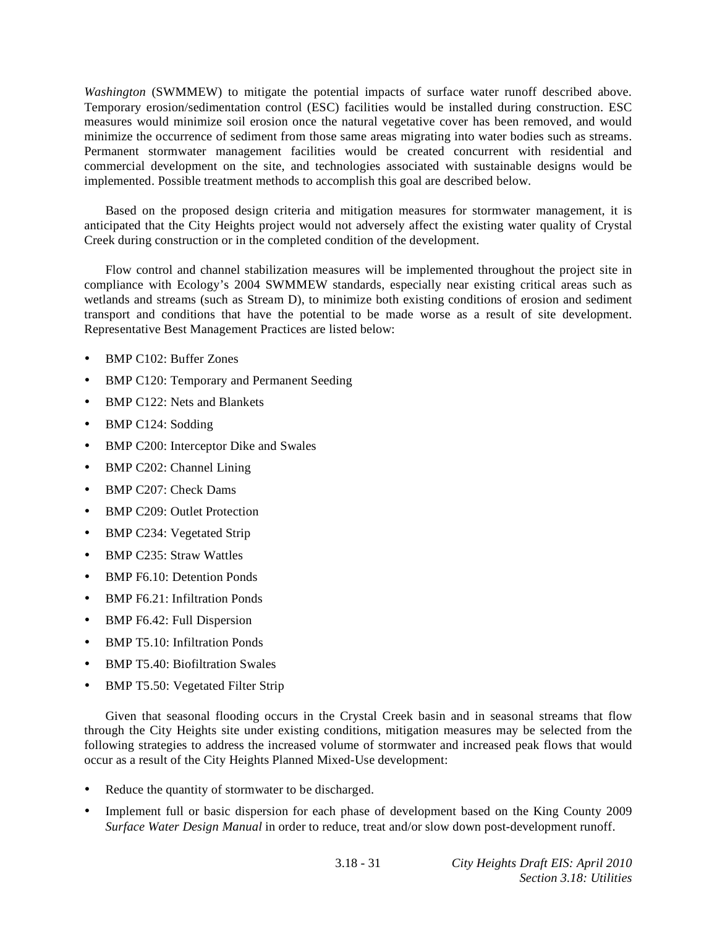*Washington* (SWMMEW) to mitigate the potential impacts of surface water runoff described above. Temporary erosion/sedimentation control (ESC) facilities would be installed during construction. ESC measures would minimize soil erosion once the natural vegetative cover has been removed, and would minimize the occurrence of sediment from those same areas migrating into water bodies such as streams. Permanent stormwater management facilities would be created concurrent with residential and commercial development on the site, and technologies associated with sustainable designs would be implemented. Possible treatment methods to accomplish this goal are described below.

 Based on the proposed design criteria and mitigation measures for stormwater management, it is anticipated that the City Heights project would not adversely affect the existing water quality of Crystal Creek during construction or in the completed condition of the development.

 Flow control and channel stabilization measures will be implemented throughout the project site in compliance with Ecology's 2004 SWMMEW standards, especially near existing critical areas such as wetlands and streams (such as Stream D), to minimize both existing conditions of erosion and sediment transport and conditions that have the potential to be made worse as a result of site development. Representative Best Management Practices are listed below:

- BMP C102: Buffer Zones
- BMP C120: Temporary and Permanent Seeding
- BMP C122: Nets and Blankets
- BMP C124: Sodding
- BMP C200: Interceptor Dike and Swales
- BMP C202: Channel Lining
- BMP C207: Check Dams
- BMP C209: Outlet Protection
- BMP C234: Vegetated Strip
- BMP C235: Straw Wattles
- BMP F6.10: Detention Ponds
- BMP F6.21: Infiltration Ponds
- BMP F6.42: Full Dispersion
- BMP T5.10: Infiltration Ponds
- BMP T5.40: Biofiltration Swales
- BMP T5.50: Vegetated Filter Strip

 Given that seasonal flooding occurs in the Crystal Creek basin and in seasonal streams that flow through the City Heights site under existing conditions, mitigation measures may be selected from the following strategies to address the increased volume of stormwater and increased peak flows that would occur as a result of the City Heights Planned Mixed-Use development:

- Reduce the quantity of stormwater to be discharged.
- Implement full or basic dispersion for each phase of development based on the King County 2009 *Surface Water Design Manual* in order to reduce, treat and/or slow down post-development runoff.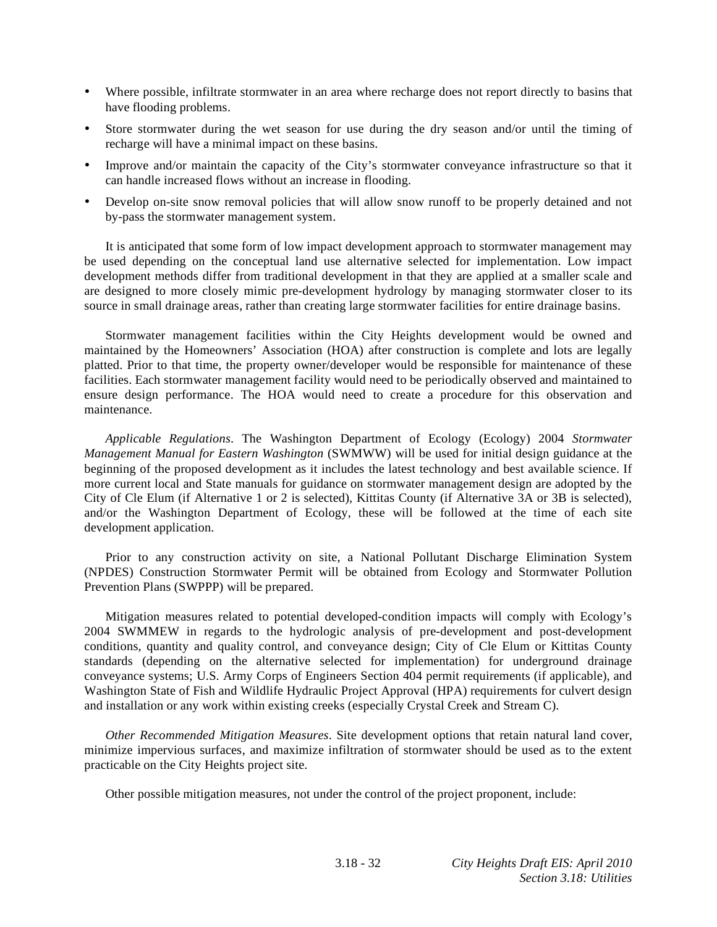- Where possible, infiltrate stormwater in an area where recharge does not report directly to basins that have flooding problems.
- Store stormwater during the wet season for use during the dry season and/or until the timing of recharge will have a minimal impact on these basins.
- Improve and/or maintain the capacity of the City's stormwater conveyance infrastructure so that it can handle increased flows without an increase in flooding.
- Develop on-site snow removal policies that will allow snow runoff to be properly detained and not by-pass the stormwater management system.

 It is anticipated that some form of low impact development approach to stormwater management may be used depending on the conceptual land use alternative selected for implementation. Low impact development methods differ from traditional development in that they are applied at a smaller scale and are designed to more closely mimic pre-development hydrology by managing stormwater closer to its source in small drainage areas, rather than creating large stormwater facilities for entire drainage basins.

 Stormwater management facilities within the City Heights development would be owned and maintained by the Homeowners' Association (HOA) after construction is complete and lots are legally platted. Prior to that time, the property owner/developer would be responsible for maintenance of these facilities. Each stormwater management facility would need to be periodically observed and maintained to ensure design performance. The HOA would need to create a procedure for this observation and maintenance.

*Applicable Regulations*. The Washington Department of Ecology (Ecology) 2004 *Stormwater Management Manual for Eastern Washington* (SWMWW) will be used for initial design guidance at the beginning of the proposed development as it includes the latest technology and best available science. If more current local and State manuals for guidance on stormwater management design are adopted by the City of Cle Elum (if Alternative 1 or 2 is selected), Kittitas County (if Alternative 3A or 3B is selected), and/or the Washington Department of Ecology, these will be followed at the time of each site development application.

Prior to any construction activity on site, a National Pollutant Discharge Elimination System (NPDES) Construction Stormwater Permit will be obtained from Ecology and Stormwater Pollution Prevention Plans (SWPPP) will be prepared.

 Mitigation measures related to potential developed-condition impacts will comply with Ecology's 2004 SWMMEW in regards to the hydrologic analysis of pre-development and post-development conditions, quantity and quality control, and conveyance design; City of Cle Elum or Kittitas County standards (depending on the alternative selected for implementation) for underground drainage conveyance systems; U.S. Army Corps of Engineers Section 404 permit requirements (if applicable), and Washington State of Fish and Wildlife Hydraulic Project Approval (HPA) requirements for culvert design and installation or any work within existing creeks (especially Crystal Creek and Stream C).

*Other Recommended Mitigation Measures*. Site development options that retain natural land cover, minimize impervious surfaces, and maximize infiltration of stormwater should be used as to the extent practicable on the City Heights project site.

Other possible mitigation measures, not under the control of the project proponent, include: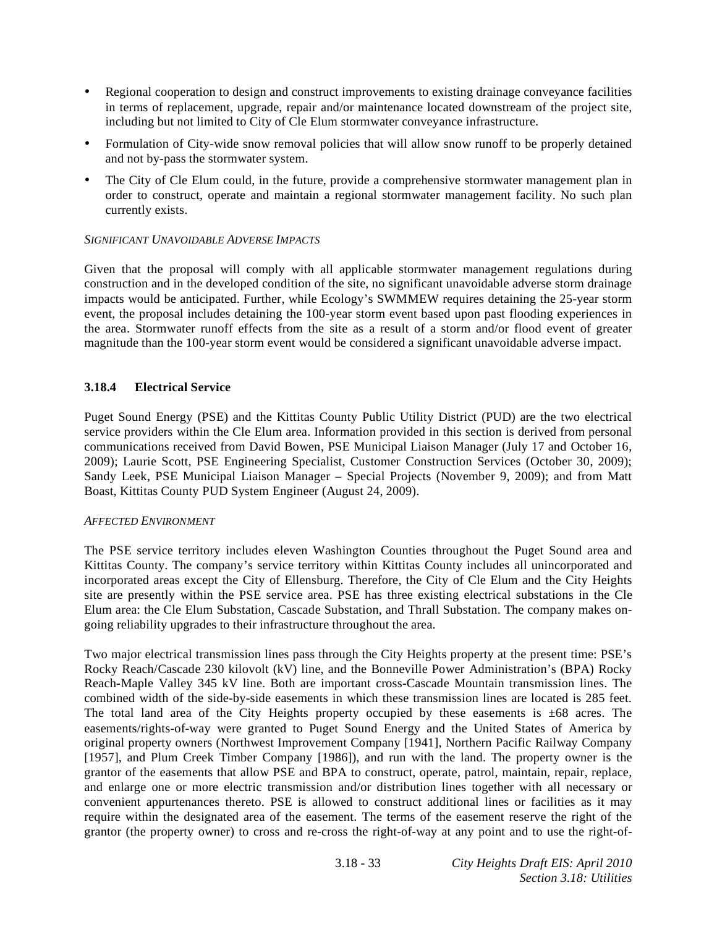- Regional cooperation to design and construct improvements to existing drainage conveyance facilities in terms of replacement, upgrade, repair and/or maintenance located downstream of the project site, including but not limited to City of Cle Elum stormwater conveyance infrastructure.
- Formulation of City-wide snow removal policies that will allow snow runoff to be properly detained and not by-pass the stormwater system.
- The City of Cle Elum could, in the future, provide a comprehensive stormwater management plan in order to construct, operate and maintain a regional stormwater management facility. No such plan currently exists.

# *SIGNIFICANT UNAVOIDABLE ADVERSE IMPACTS*

Given that the proposal will comply with all applicable stormwater management regulations during construction and in the developed condition of the site, no significant unavoidable adverse storm drainage impacts would be anticipated. Further, while Ecology's SWMMEW requires detaining the 25-year storm event, the proposal includes detaining the 100-year storm event based upon past flooding experiences in the area. Stormwater runoff effects from the site as a result of a storm and/or flood event of greater magnitude than the 100-year storm event would be considered a significant unavoidable adverse impact.

# **3.18.4 Electrical Service**

Puget Sound Energy (PSE) and the Kittitas County Public Utility District (PUD) are the two electrical service providers within the Cle Elum area. Information provided in this section is derived from personal communications received from David Bowen, PSE Municipal Liaison Manager (July 17 and October 16, 2009); Laurie Scott, PSE Engineering Specialist, Customer Construction Services (October 30, 2009); Sandy Leek, PSE Municipal Liaison Manager – Special Projects (November 9, 2009); and from Matt Boast, Kittitas County PUD System Engineer (August 24, 2009).

# *AFFECTED ENVIRONMENT*

The PSE service territory includes eleven Washington Counties throughout the Puget Sound area and Kittitas County. The company's service territory within Kittitas County includes all unincorporated and incorporated areas except the City of Ellensburg. Therefore, the City of Cle Elum and the City Heights site are presently within the PSE service area. PSE has three existing electrical substations in the Cle Elum area: the Cle Elum Substation, Cascade Substation, and Thrall Substation. The company makes ongoing reliability upgrades to their infrastructure throughout the area.

Two major electrical transmission lines pass through the City Heights property at the present time: PSE's Rocky Reach/Cascade 230 kilovolt (kV) line, and the Bonneville Power Administration's (BPA) Rocky Reach-Maple Valley 345 kV line. Both are important cross-Cascade Mountain transmission lines. The combined width of the side-by-side easements in which these transmission lines are located is 285 feet. The total land area of the City Heights property occupied by these easements is  $\pm 68$  acres. The easements/rights-of-way were granted to Puget Sound Energy and the United States of America by original property owners (Northwest Improvement Company [1941], Northern Pacific Railway Company [1957], and Plum Creek Timber Company [1986]), and run with the land. The property owner is the grantor of the easements that allow PSE and BPA to construct, operate, patrol, maintain, repair, replace, and enlarge one or more electric transmission and/or distribution lines together with all necessary or convenient appurtenances thereto. PSE is allowed to construct additional lines or facilities as it may require within the designated area of the easement. The terms of the easement reserve the right of the grantor (the property owner) to cross and re-cross the right-of-way at any point and to use the right-of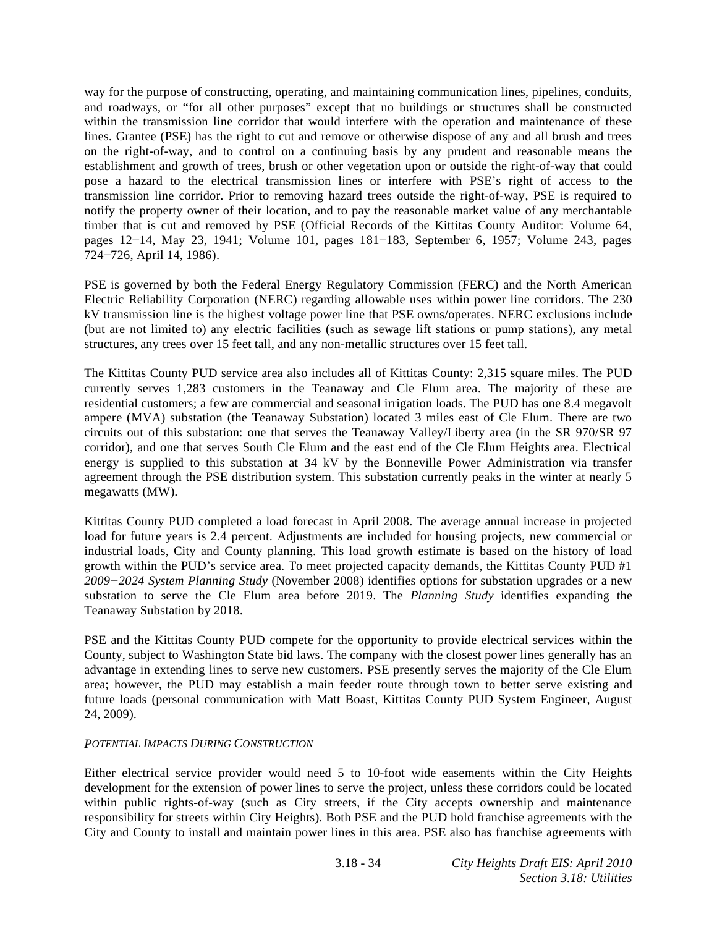way for the purpose of constructing, operating, and maintaining communication lines, pipelines, conduits, and roadways, or "for all other purposes" except that no buildings or structures shall be constructed within the transmission line corridor that would interfere with the operation and maintenance of these lines. Grantee (PSE) has the right to cut and remove or otherwise dispose of any and all brush and trees on the right-of-way, and to control on a continuing basis by any prudent and reasonable means the establishment and growth of trees, brush or other vegetation upon or outside the right-of-way that could pose a hazard to the electrical transmission lines or interfere with PSE's right of access to the transmission line corridor. Prior to removing hazard trees outside the right-of-way, PSE is required to notify the property owner of their location, and to pay the reasonable market value of any merchantable timber that is cut and removed by PSE (Official Records of the Kittitas County Auditor: Volume 64, pages  $12-14$ , May 23, 1941; Volume 101, pages  $181-183$ , September 6, 1957; Volume 243, pages 724-726, April 14, 1986).

PSE is governed by both the Federal Energy Regulatory Commission (FERC) and the North American Electric Reliability Corporation (NERC) regarding allowable uses within power line corridors. The 230 kV transmission line is the highest voltage power line that PSE owns/operates. NERC exclusions include (but are not limited to) any electric facilities (such as sewage lift stations or pump stations), any metal structures, any trees over 15 feet tall, and any non-metallic structures over 15 feet tall.

The Kittitas County PUD service area also includes all of Kittitas County: 2,315 square miles. The PUD currently serves 1,283 customers in the Teanaway and Cle Elum area. The majority of these are residential customers; a few are commercial and seasonal irrigation loads. The PUD has one 8.4 megavolt ampere (MVA) substation (the Teanaway Substation) located 3 miles east of Cle Elum. There are two circuits out of this substation: one that serves the Teanaway Valley/Liberty area (in the SR 970/SR 97 corridor), and one that serves South Cle Elum and the east end of the Cle Elum Heights area. Electrical energy is supplied to this substation at 34 kV by the Bonneville Power Administration via transfer agreement through the PSE distribution system. This substation currently peaks in the winter at nearly 5 megawatts (MW).

Kittitas County PUD completed a load forecast in April 2008. The average annual increase in projected load for future years is 2.4 percent. Adjustments are included for housing projects, new commercial or industrial loads, City and County planning. This load growth estimate is based on the history of load growth within the PUD's service area. To meet projected capacity demands, the Kittitas County PUD #1 *20092024 System Planning Study* (November 2008) identifies options for substation upgrades or a new substation to serve the Cle Elum area before 2019. The *Planning Study* identifies expanding the Teanaway Substation by 2018.

PSE and the Kittitas County PUD compete for the opportunity to provide electrical services within the County, subject to Washington State bid laws. The company with the closest power lines generally has an advantage in extending lines to serve new customers. PSE presently serves the majority of the Cle Elum area; however, the PUD may establish a main feeder route through town to better serve existing and future loads (personal communication with Matt Boast, Kittitas County PUD System Engineer, August 24, 2009).

# *POTENTIAL IMPACTS DURING CONSTRUCTION*

Either electrical service provider would need 5 to 10-foot wide easements within the City Heights development for the extension of power lines to serve the project, unless these corridors could be located within public rights-of-way (such as City streets, if the City accepts ownership and maintenance responsibility for streets within City Heights). Both PSE and the PUD hold franchise agreements with the City and County to install and maintain power lines in this area. PSE also has franchise agreements with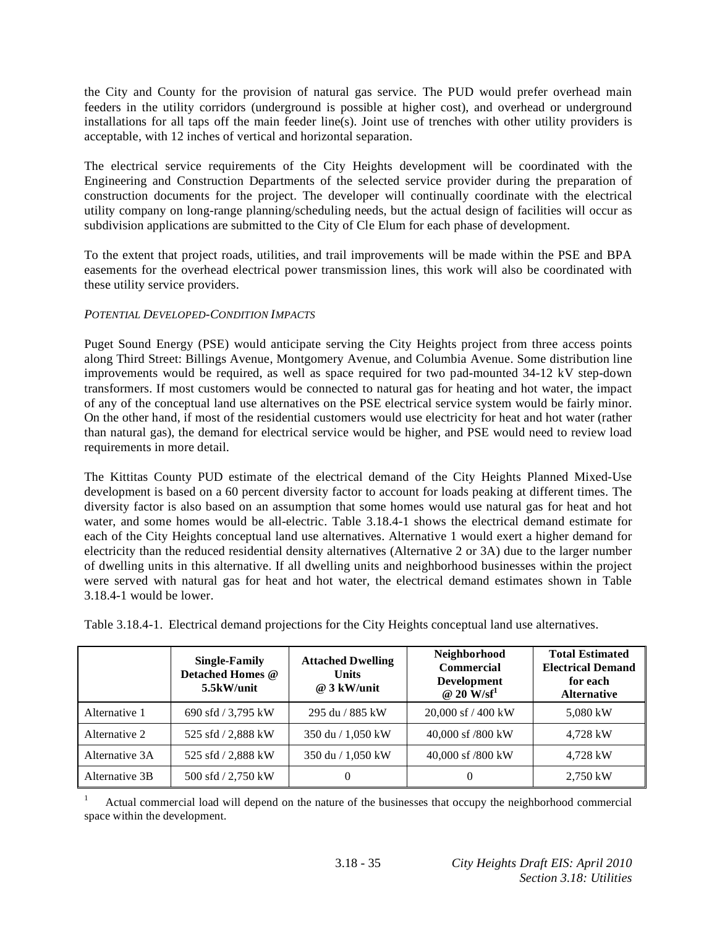the City and County for the provision of natural gas service. The PUD would prefer overhead main feeders in the utility corridors (underground is possible at higher cost), and overhead or underground installations for all taps off the main feeder line(s). Joint use of trenches with other utility providers is acceptable, with 12 inches of vertical and horizontal separation.

The electrical service requirements of the City Heights development will be coordinated with the Engineering and Construction Departments of the selected service provider during the preparation of construction documents for the project. The developer will continually coordinate with the electrical utility company on long-range planning/scheduling needs, but the actual design of facilities will occur as subdivision applications are submitted to the City of Cle Elum for each phase of development.

To the extent that project roads, utilities, and trail improvements will be made within the PSE and BPA easements for the overhead electrical power transmission lines, this work will also be coordinated with these utility service providers.

# *POTENTIAL DEVELOPED-CONDITION IMPACTS*

Puget Sound Energy (PSE) would anticipate serving the City Heights project from three access points along Third Street: Billings Avenue, Montgomery Avenue, and Columbia Avenue. Some distribution line improvements would be required, as well as space required for two pad-mounted 34-12 kV step-down transformers. If most customers would be connected to natural gas for heating and hot water, the impact of any of the conceptual land use alternatives on the PSE electrical service system would be fairly minor. On the other hand, if most of the residential customers would use electricity for heat and hot water (rather than natural gas), the demand for electrical service would be higher, and PSE would need to review load requirements in more detail.

The Kittitas County PUD estimate of the electrical demand of the City Heights Planned Mixed-Use development is based on a 60 percent diversity factor to account for loads peaking at different times. The diversity factor is also based on an assumption that some homes would use natural gas for heat and hot water, and some homes would be all-electric. Table 3.18.4-1 shows the electrical demand estimate for each of the City Heights conceptual land use alternatives. Alternative 1 would exert a higher demand for electricity than the reduced residential density alternatives (Alternative 2 or 3A) due to the larger number of dwelling units in this alternative. If all dwelling units and neighborhood businesses within the project were served with natural gas for heat and hot water, the electrical demand estimates shown in Table 3.18.4-1 would be lower.

|                | <b>Single-Family</b><br><b>Detached Homes @</b><br>5.5kW/unit | <b>Attached Dwelling</b><br><b>Units</b><br>$@3$ kW/unit | Neighborhood<br><b>Commercial</b><br><b>Development</b><br>@ 20 W/sf <sup>1</sup> | <b>Total Estimated</b><br><b>Electrical Demand</b><br>for each<br><b>Alternative</b> |
|----------------|---------------------------------------------------------------|----------------------------------------------------------|-----------------------------------------------------------------------------------|--------------------------------------------------------------------------------------|
| Alternative 1  | 690 sfd / 3,795 kW                                            | 295 du / 885 kW                                          | 20,000 sf / 400 kW                                                                | 5,080 kW                                                                             |
| Alternative 2  | 525 sfd / 2,888 kW                                            | 350 du / 1,050 kW                                        | 40,000 sf /800 kW                                                                 | 4.728 kW                                                                             |
| Alternative 3A | 525 sfd / 2,888 kW                                            | 350 du / 1,050 kW                                        | 40,000 sf /800 kW                                                                 | 4,728 kW                                                                             |
| Alternative 3B | 500 sfd / 2,750 kW                                            |                                                          | 0                                                                                 | 2,750 kW                                                                             |

Table 3.18.4-1. Electrical demand projections for the City Heights conceptual land use alternatives.

1 Actual commercial load will depend on the nature of the businesses that occupy the neighborhood commercial space within the development.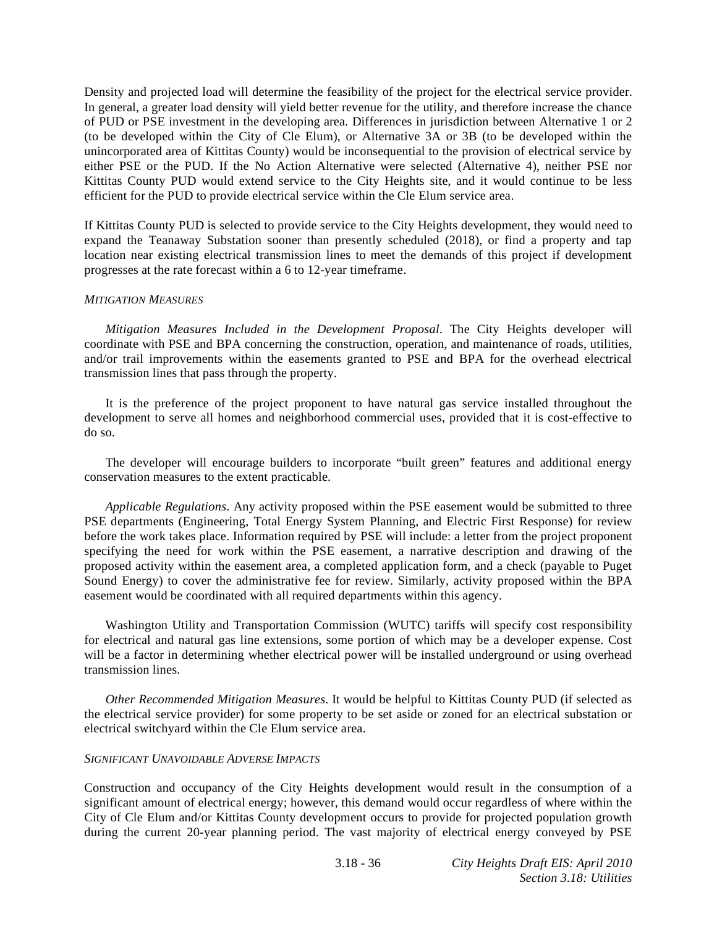Density and projected load will determine the feasibility of the project for the electrical service provider. In general, a greater load density will yield better revenue for the utility, and therefore increase the chance of PUD or PSE investment in the developing area. Differences in jurisdiction between Alternative 1 or 2 (to be developed within the City of Cle Elum), or Alternative 3A or 3B (to be developed within the unincorporated area of Kittitas County) would be inconsequential to the provision of electrical service by either PSE or the PUD. If the No Action Alternative were selected (Alternative 4), neither PSE nor Kittitas County PUD would extend service to the City Heights site, and it would continue to be less efficient for the PUD to provide electrical service within the Cle Elum service area.

If Kittitas County PUD is selected to provide service to the City Heights development, they would need to expand the Teanaway Substation sooner than presently scheduled (2018), or find a property and tap location near existing electrical transmission lines to meet the demands of this project if development progresses at the rate forecast within a 6 to 12-year timeframe.

# *MITIGATION MEASURES*

*Mitigation Measures Included in the Development Proposal*. The City Heights developer will coordinate with PSE and BPA concerning the construction, operation, and maintenance of roads, utilities, and/or trail improvements within the easements granted to PSE and BPA for the overhead electrical transmission lines that pass through the property.

 It is the preference of the project proponent to have natural gas service installed throughout the development to serve all homes and neighborhood commercial uses, provided that it is cost-effective to do so.

 The developer will encourage builders to incorporate "built green" features and additional energy conservation measures to the extent practicable.

*Applicable Regulations*. Any activity proposed within the PSE easement would be submitted to three PSE departments (Engineering, Total Energy System Planning, and Electric First Response) for review before the work takes place. Information required by PSE will include: a letter from the project proponent specifying the need for work within the PSE easement, a narrative description and drawing of the proposed activity within the easement area, a completed application form, and a check (payable to Puget Sound Energy) to cover the administrative fee for review. Similarly, activity proposed within the BPA easement would be coordinated with all required departments within this agency.

 Washington Utility and Transportation Commission (WUTC) tariffs will specify cost responsibility for electrical and natural gas line extensions, some portion of which may be a developer expense. Cost will be a factor in determining whether electrical power will be installed underground or using overhead transmission lines.

*Other Recommended Mitigation Measures*. It would be helpful to Kittitas County PUD (if selected as the electrical service provider) for some property to be set aside or zoned for an electrical substation or electrical switchyard within the Cle Elum service area.

#### *SIGNIFICANT UNAVOIDABLE ADVERSE IMPACTS*

Construction and occupancy of the City Heights development would result in the consumption of a significant amount of electrical energy; however, this demand would occur regardless of where within the City of Cle Elum and/or Kittitas County development occurs to provide for projected population growth during the current 20-year planning period. The vast majority of electrical energy conveyed by PSE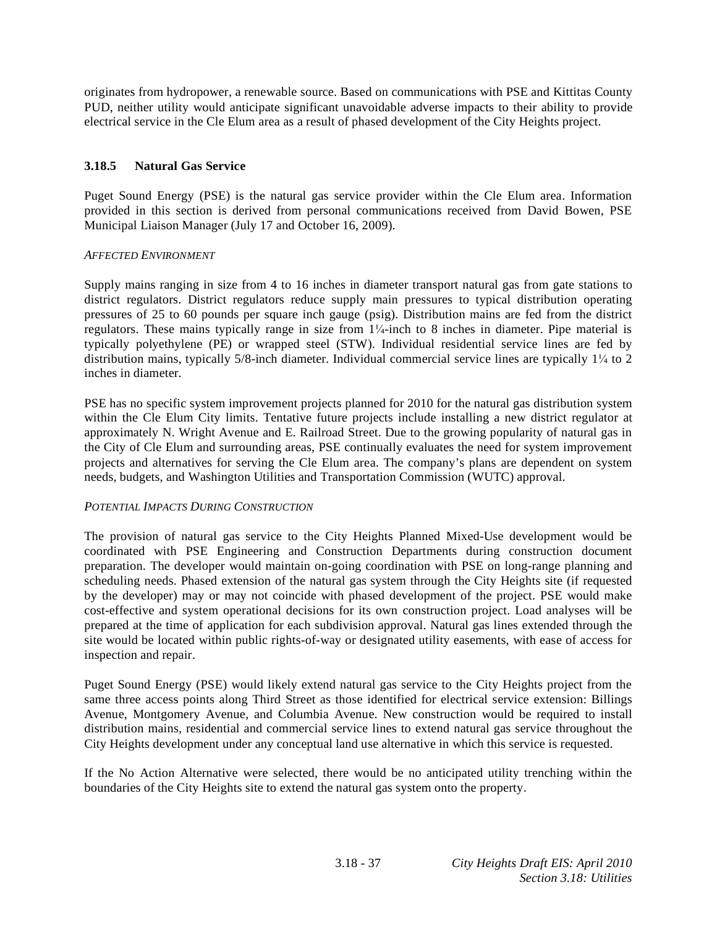originates from hydropower, a renewable source. Based on communications with PSE and Kittitas County PUD, neither utility would anticipate significant unavoidable adverse impacts to their ability to provide electrical service in the Cle Elum area as a result of phased development of the City Heights project.

# **3.18.5 Natural Gas Service**

Puget Sound Energy (PSE) is the natural gas service provider within the Cle Elum area. Information provided in this section is derived from personal communications received from David Bowen, PSE Municipal Liaison Manager (July 17 and October 16, 2009).

# *AFFECTED ENVIRONMENT*

Supply mains ranging in size from 4 to 16 inches in diameter transport natural gas from gate stations to district regulators. District regulators reduce supply main pressures to typical distribution operating pressures of 25 to 60 pounds per square inch gauge (psig). Distribution mains are fed from the district regulators. These mains typically range in size from  $1\frac{1}{4}$ -inch to 8 inches in diameter. Pipe material is typically polyethylene (PE) or wrapped steel (STW). Individual residential service lines are fed by distribution mains, typically  $5/8$ -inch diameter. Individual commercial service lines are typically  $1/4$  to 2 inches in diameter.

PSE has no specific system improvement projects planned for 2010 for the natural gas distribution system within the Cle Elum City limits. Tentative future projects include installing a new district regulator at approximately N. Wright Avenue and E. Railroad Street. Due to the growing popularity of natural gas in the City of Cle Elum and surrounding areas, PSE continually evaluates the need for system improvement projects and alternatives for serving the Cle Elum area. The company's plans are dependent on system needs, budgets, and Washington Utilities and Transportation Commission (WUTC) approval.

# *POTENTIAL IMPACTS DURING CONSTRUCTION*

The provision of natural gas service to the City Heights Planned Mixed-Use development would be coordinated with PSE Engineering and Construction Departments during construction document preparation. The developer would maintain on-going coordination with PSE on long-range planning and scheduling needs. Phased extension of the natural gas system through the City Heights site (if requested by the developer) may or may not coincide with phased development of the project. PSE would make cost-effective and system operational decisions for its own construction project. Load analyses will be prepared at the time of application for each subdivision approval. Natural gas lines extended through the site would be located within public rights-of-way or designated utility easements, with ease of access for inspection and repair.

Puget Sound Energy (PSE) would likely extend natural gas service to the City Heights project from the same three access points along Third Street as those identified for electrical service extension: Billings Avenue, Montgomery Avenue, and Columbia Avenue. New construction would be required to install distribution mains, residential and commercial service lines to extend natural gas service throughout the City Heights development under any conceptual land use alternative in which this service is requested.

If the No Action Alternative were selected, there would be no anticipated utility trenching within the boundaries of the City Heights site to extend the natural gas system onto the property.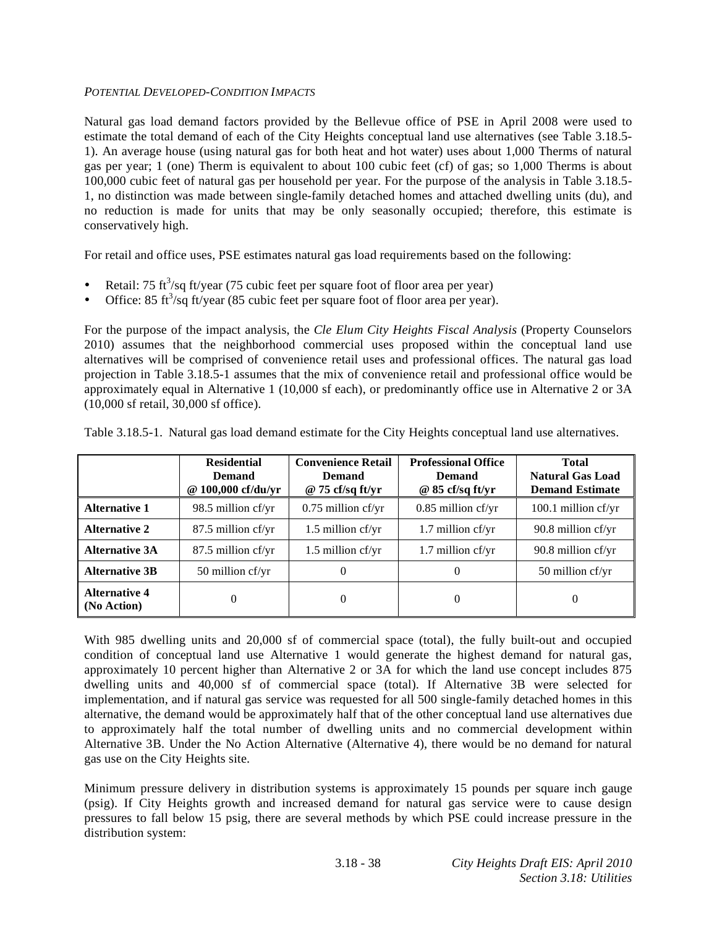# *POTENTIAL DEVELOPED-CONDITION IMPACTS*

Natural gas load demand factors provided by the Bellevue office of PSE in April 2008 were used to estimate the total demand of each of the City Heights conceptual land use alternatives (see Table 3.18.5- 1). An average house (using natural gas for both heat and hot water) uses about 1,000 Therms of natural gas per year; 1 (one) Therm is equivalent to about 100 cubic feet (cf) of gas; so 1,000 Therms is about 100,000 cubic feet of natural gas per household per year. For the purpose of the analysis in Table 3.18.5- 1, no distinction was made between single-family detached homes and attached dwelling units (du), and no reduction is made for units that may be only seasonally occupied; therefore, this estimate is conservatively high.

For retail and office uses, PSE estimates natural gas load requirements based on the following:

- Retail:  $75 \text{ ft}^3/\text{sq ft}/\text{year}$  (75 cubic feet per square foot of floor area per year)
- Office: 85 ft<sup>3</sup>/sq ft/year (85 cubic feet per square foot of floor area per year).

For the purpose of the impact analysis, the *Cle Elum City Heights Fiscal Analysis* (Property Counselors 2010) assumes that the neighborhood commercial uses proposed within the conceptual land use alternatives will be comprised of convenience retail uses and professional offices. The natural gas load projection in Table 3.18.5-1 assumes that the mix of convenience retail and professional office would be approximately equal in Alternative 1 (10,000 sf each), or predominantly office use in Alternative 2 or 3A (10,000 sf retail, 30,000 sf office).

|                                     | <b>Residential</b><br><b>Demand</b><br>$100,000$ cf/du/yr<br>$\omega$ | <b>Convenience Retail</b><br>Demand<br>$@ 75 \text{ cf/sq ft/yr}$ | <b>Professional Office</b><br><b>Demand</b><br>$@ 85 \text{ cf/sq ft/yr}$ | <b>Total</b><br><b>Natural Gas Load</b><br><b>Demand Estimate</b> |
|-------------------------------------|-----------------------------------------------------------------------|-------------------------------------------------------------------|---------------------------------------------------------------------------|-------------------------------------------------------------------|
| <b>Alternative 1</b>                | 98.5 million cf/yr                                                    | $0.75$ million cf/yr                                              | $0.85$ million cf/yr                                                      | 100.1 million $cf/yr$                                             |
| <b>Alternative 2</b>                | 87.5 million cf/yr                                                    | $1.5$ million cf/yr                                               | $1.7$ million cf/yr                                                       | 90.8 million cf/yr                                                |
| <b>Alternative 3A</b>               | 87.5 million cf/yr                                                    | $1.5$ million cf/yr                                               | $1.7$ million cf/yr                                                       | $90.8$ million cf/yr                                              |
| <b>Alternative 3B</b>               | $50$ million cf/yr                                                    | 0                                                                 | $\Omega$                                                                  | 50 million cf/yr                                                  |
| <b>Alternative 4</b><br>(No Action) | $\theta$                                                              | 0                                                                 | $\theta$                                                                  | $\theta$                                                          |

Table 3.18.5-1. Natural gas load demand estimate for the City Heights conceptual land use alternatives.

With 985 dwelling units and 20,000 sf of commercial space (total), the fully built-out and occupied condition of conceptual land use Alternative 1 would generate the highest demand for natural gas, approximately 10 percent higher than Alternative 2 or 3A for which the land use concept includes 875 dwelling units and 40,000 sf of commercial space (total). If Alternative 3B were selected for implementation, and if natural gas service was requested for all 500 single-family detached homes in this alternative, the demand would be approximately half that of the other conceptual land use alternatives due to approximately half the total number of dwelling units and no commercial development within Alternative 3B. Under the No Action Alternative (Alternative 4), there would be no demand for natural gas use on the City Heights site.

Minimum pressure delivery in distribution systems is approximately 15 pounds per square inch gauge (psig). If City Heights growth and increased demand for natural gas service were to cause design pressures to fall below 15 psig, there are several methods by which PSE could increase pressure in the distribution system: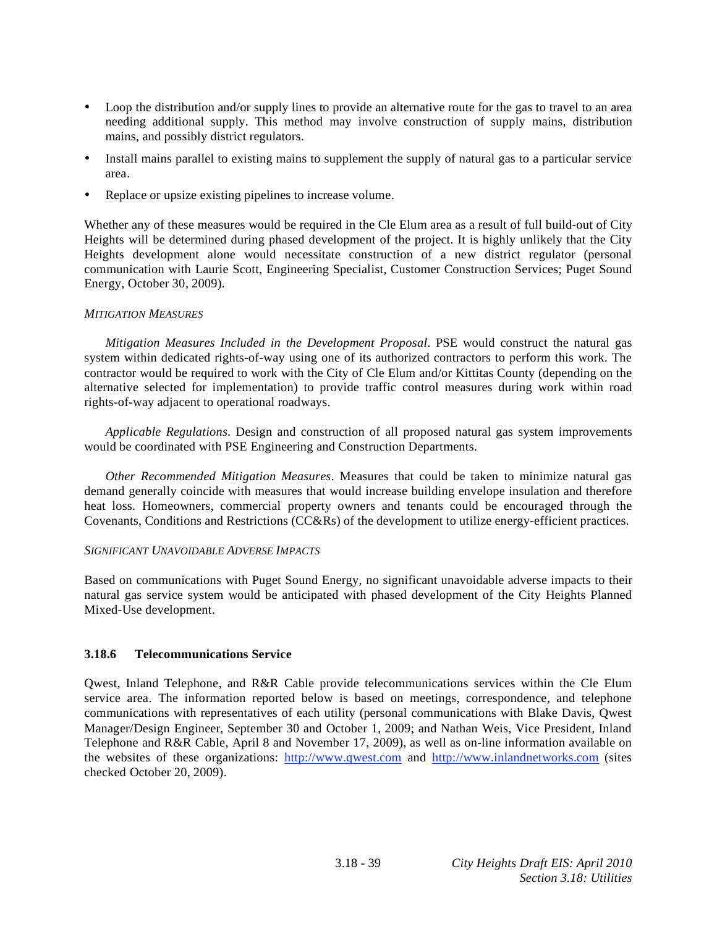- Loop the distribution and/or supply lines to provide an alternative route for the gas to travel to an area needing additional supply. This method may involve construction of supply mains, distribution mains, and possibly district regulators.
- Install mains parallel to existing mains to supplement the supply of natural gas to a particular service area.
- Replace or upsize existing pipelines to increase volume.

Whether any of these measures would be required in the Cle Elum area as a result of full build-out of City Heights will be determined during phased development of the project. It is highly unlikely that the City Heights development alone would necessitate construction of a new district regulator (personal communication with Laurie Scott, Engineering Specialist, Customer Construction Services; Puget Sound Energy, October 30, 2009).

# *MITIGATION MEASURES*

*Mitigation Measures Included in the Development Proposal*. PSE would construct the natural gas system within dedicated rights-of-way using one of its authorized contractors to perform this work. The contractor would be required to work with the City of Cle Elum and/or Kittitas County (depending on the alternative selected for implementation) to provide traffic control measures during work within road rights-of-way adjacent to operational roadways.

*Applicable Regulations*. Design and construction of all proposed natural gas system improvements would be coordinated with PSE Engineering and Construction Departments.

*Other Recommended Mitigation Measures*. Measures that could be taken to minimize natural gas demand generally coincide with measures that would increase building envelope insulation and therefore heat loss. Homeowners, commercial property owners and tenants could be encouraged through the Covenants, Conditions and Restrictions (CC&Rs) of the development to utilize energy-efficient practices.

# *SIGNIFICANT UNAVOIDABLE ADVERSE IMPACTS*

Based on communications with Puget Sound Energy, no significant unavoidable adverse impacts to their natural gas service system would be anticipated with phased development of the City Heights Planned Mixed-Use development.

# **3.18.6 Telecommunications Service**

Qwest, Inland Telephone, and R&R Cable provide telecommunications services within the Cle Elum service area. The information reported below is based on meetings, correspondence, and telephone communications with representatives of each utility (personal communications with Blake Davis, Qwest Manager/Design Engineer, September 30 and October 1, 2009; and Nathan Weis, Vice President, Inland Telephone and R&R Cable, April 8 and November 17, 2009), as well as on-line information available on the websites of these organizations: http://www.qwest.com and http://www.inlandnetworks.com (sites checked October 20, 2009).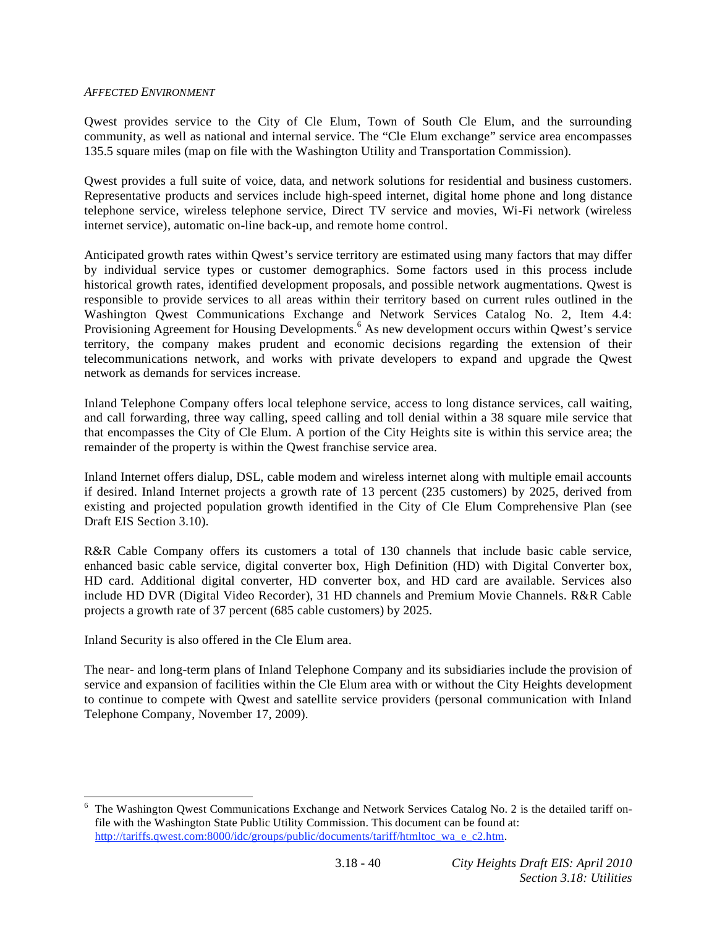#### *AFFECTED ENVIRONMENT*

Qwest provides service to the City of Cle Elum, Town of South Cle Elum, and the surrounding community, as well as national and internal service. The "Cle Elum exchange" service area encompasses 135.5 square miles (map on file with the Washington Utility and Transportation Commission).

Qwest provides a full suite of voice, data, and network solutions for residential and business customers. Representative products and services include high-speed internet, digital home phone and long distance telephone service, wireless telephone service, Direct TV service and movies, Wi-Fi network (wireless internet service), automatic on-line back-up, and remote home control.

Anticipated growth rates within Qwest's service territory are estimated using many factors that may differ by individual service types or customer demographics. Some factors used in this process include historical growth rates, identified development proposals, and possible network augmentations. Qwest is responsible to provide services to all areas within their territory based on current rules outlined in the Washington Qwest Communications Exchange and Network Services Catalog No. 2, Item 4.4: Provisioning Agreement for Housing Developments.<sup>6</sup> As new development occurs within Qwest's service territory, the company makes prudent and economic decisions regarding the extension of their telecommunications network, and works with private developers to expand and upgrade the Qwest network as demands for services increase.

Inland Telephone Company offers local telephone service, access to long distance services, call waiting, and call forwarding, three way calling, speed calling and toll denial within a 38 square mile service that that encompasses the City of Cle Elum. A portion of the City Heights site is within this service area; the remainder of the property is within the Qwest franchise service area.

Inland Internet offers dialup, DSL, cable modem and wireless internet along with multiple email accounts if desired. Inland Internet projects a growth rate of 13 percent (235 customers) by 2025, derived from existing and projected population growth identified in the City of Cle Elum Comprehensive Plan (see Draft EIS Section 3.10).

R&R Cable Company offers its customers a total of 130 channels that include basic cable service, enhanced basic cable service, digital converter box, High Definition (HD) with Digital Converter box, HD card. Additional digital converter, HD converter box, and HD card are available. Services also include HD DVR (Digital Video Recorder), 31 HD channels and Premium Movie Channels. R&R Cable projects a growth rate of 37 percent (685 cable customers) by 2025.

Inland Security is also offered in the Cle Elum area.

l

The near- and long-term plans of Inland Telephone Company and its subsidiaries include the provision of service and expansion of facilities within the Cle Elum area with or without the City Heights development to continue to compete with Qwest and satellite service providers (personal communication with Inland Telephone Company, November 17, 2009).

<sup>6</sup> The Washington Qwest Communications Exchange and Network Services Catalog No. 2 is the detailed tariff onfile with the Washington State Public Utility Commission. This document can be found at: http://tariffs.qwest.com:8000/idc/groups/public/documents/tariff/htmltoc\_wa\_e\_c2.htm.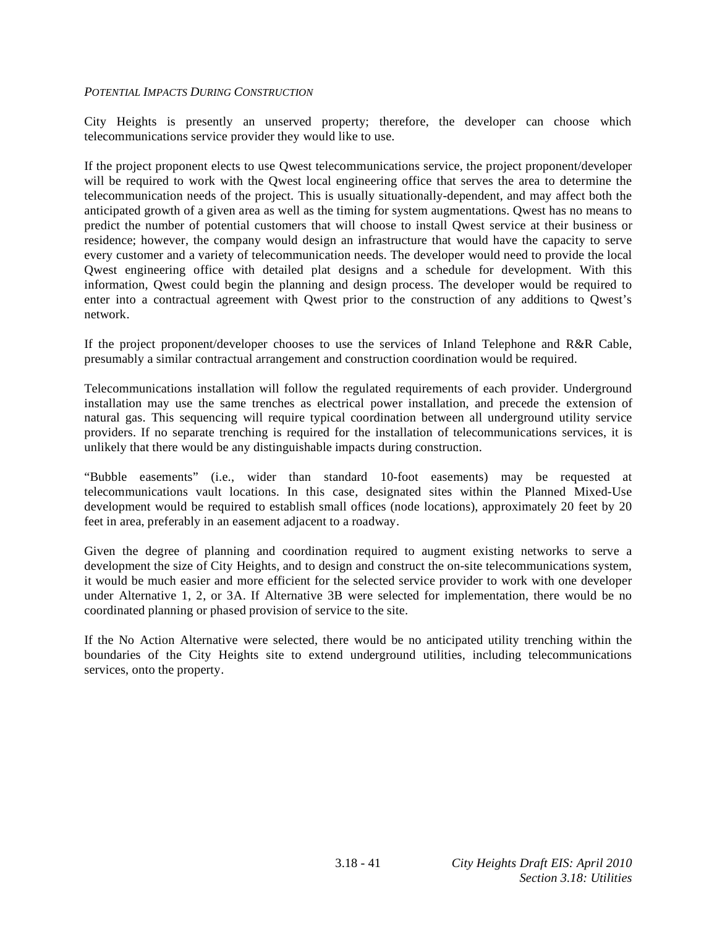#### *POTENTIAL IMPACTS DURING CONSTRUCTION*

City Heights is presently an unserved property; therefore, the developer can choose which telecommunications service provider they would like to use.

If the project proponent elects to use Qwest telecommunications service, the project proponent/developer will be required to work with the Qwest local engineering office that serves the area to determine the telecommunication needs of the project. This is usually situationally-dependent, and may affect both the anticipated growth of a given area as well as the timing for system augmentations. Qwest has no means to predict the number of potential customers that will choose to install Qwest service at their business or residence; however, the company would design an infrastructure that would have the capacity to serve every customer and a variety of telecommunication needs. The developer would need to provide the local Qwest engineering office with detailed plat designs and a schedule for development. With this information, Qwest could begin the planning and design process. The developer would be required to enter into a contractual agreement with Qwest prior to the construction of any additions to Qwest's network.

If the project proponent/developer chooses to use the services of Inland Telephone and R&R Cable, presumably a similar contractual arrangement and construction coordination would be required.

Telecommunications installation will follow the regulated requirements of each provider. Underground installation may use the same trenches as electrical power installation, and precede the extension of natural gas. This sequencing will require typical coordination between all underground utility service providers. If no separate trenching is required for the installation of telecommunications services, it is unlikely that there would be any distinguishable impacts during construction.

"Bubble easements" (i.e., wider than standard 10-foot easements) may be requested at telecommunications vault locations. In this case, designated sites within the Planned Mixed-Use development would be required to establish small offices (node locations), approximately 20 feet by 20 feet in area, preferably in an easement adjacent to a roadway.

Given the degree of planning and coordination required to augment existing networks to serve a development the size of City Heights, and to design and construct the on-site telecommunications system, it would be much easier and more efficient for the selected service provider to work with one developer under Alternative 1, 2, or 3A. If Alternative 3B were selected for implementation, there would be no coordinated planning or phased provision of service to the site.

If the No Action Alternative were selected, there would be no anticipated utility trenching within the boundaries of the City Heights site to extend underground utilities, including telecommunications services, onto the property.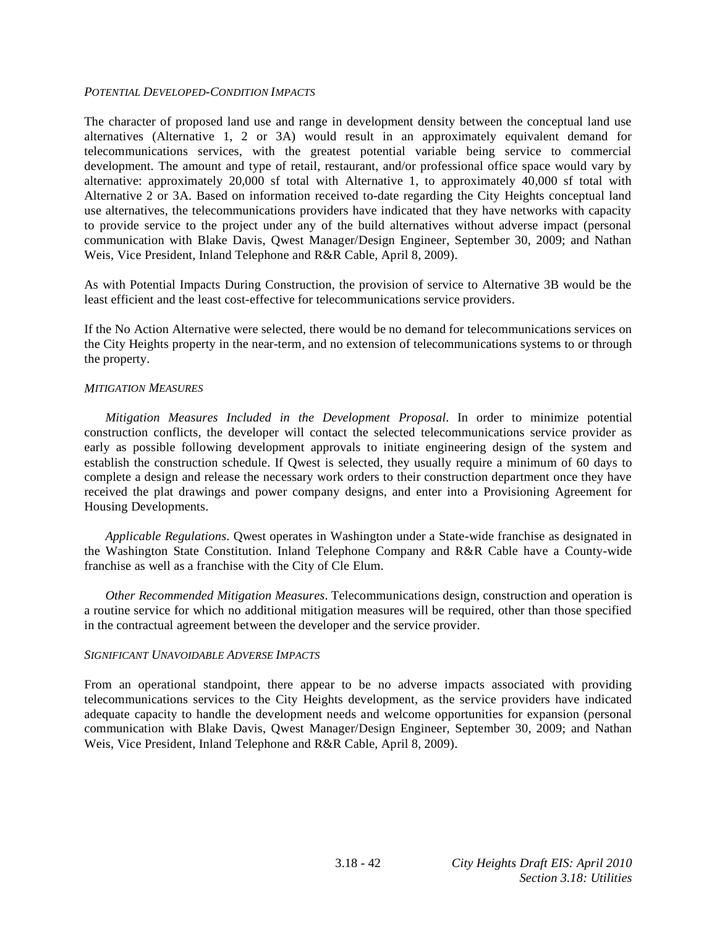#### *POTENTIAL DEVELOPED-CONDITION IMPACTS*

The character of proposed land use and range in development density between the conceptual land use alternatives (Alternative 1, 2 or 3A) would result in an approximately equivalent demand for telecommunications services, with the greatest potential variable being service to commercial development. The amount and type of retail, restaurant, and/or professional office space would vary by alternative: approximately 20,000 sf total with Alternative 1, to approximately 40,000 sf total with Alternative 2 or 3A. Based on information received to-date regarding the City Heights conceptual land use alternatives, the telecommunications providers have indicated that they have networks with capacity to provide service to the project under any of the build alternatives without adverse impact (personal communication with Blake Davis, Qwest Manager/Design Engineer, September 30, 2009; and Nathan Weis, Vice President, Inland Telephone and R&R Cable, April 8, 2009).

As with Potential Impacts During Construction, the provision of service to Alternative 3B would be the least efficient and the least cost-effective for telecommunications service providers.

If the No Action Alternative were selected, there would be no demand for telecommunications services on the City Heights property in the near-term, and no extension of telecommunications systems to or through the property.

#### *MITIGATION MEASURES*

*Mitigation Measures Included in the Development Proposal*. In order to minimize potential construction conflicts, the developer will contact the selected telecommunications service provider as early as possible following development approvals to initiate engineering design of the system and establish the construction schedule. If Qwest is selected, they usually require a minimum of 60 days to complete a design and release the necessary work orders to their construction department once they have received the plat drawings and power company designs, and enter into a Provisioning Agreement for Housing Developments.

*Applicable Regulations*. Qwest operates in Washington under a State-wide franchise as designated in the Washington State Constitution. Inland Telephone Company and R&R Cable have a County-wide franchise as well as a franchise with the City of Cle Elum.

*Other Recommended Mitigation Measures*. Telecommunications design, construction and operation is a routine service for which no additional mitigation measures will be required, other than those specified in the contractual agreement between the developer and the service provider.

#### *SIGNIFICANT UNAVOIDABLE ADVERSE IMPACTS*

From an operational standpoint, there appear to be no adverse impacts associated with providing telecommunications services to the City Heights development, as the service providers have indicated adequate capacity to handle the development needs and welcome opportunities for expansion (personal communication with Blake Davis, Qwest Manager/Design Engineer, September 30, 2009; and Nathan Weis, Vice President, Inland Telephone and R&R Cable, April 8, 2009).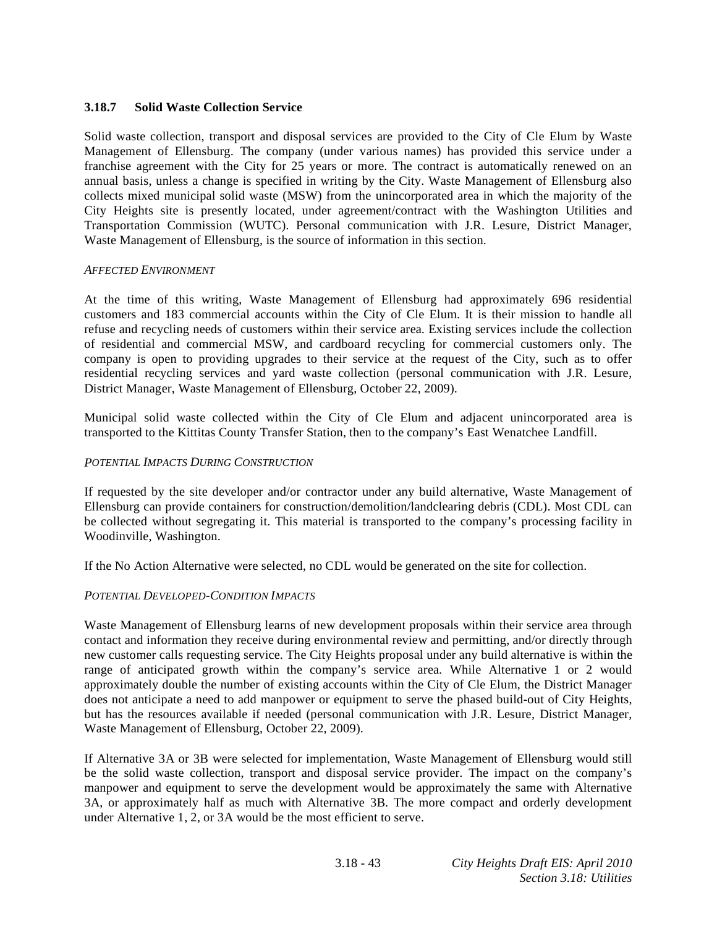# **3.18.7 Solid Waste Collection Service**

Solid waste collection, transport and disposal services are provided to the City of Cle Elum by Waste Management of Ellensburg. The company (under various names) has provided this service under a franchise agreement with the City for 25 years or more. The contract is automatically renewed on an annual basis, unless a change is specified in writing by the City. Waste Management of Ellensburg also collects mixed municipal solid waste (MSW) from the unincorporated area in which the majority of the City Heights site is presently located, under agreement/contract with the Washington Utilities and Transportation Commission (WUTC). Personal communication with J.R. Lesure, District Manager, Waste Management of Ellensburg, is the source of information in this section.

#### *AFFECTED ENVIRONMENT*

At the time of this writing, Waste Management of Ellensburg had approximately 696 residential customers and 183 commercial accounts within the City of Cle Elum. It is their mission to handle all refuse and recycling needs of customers within their service area. Existing services include the collection of residential and commercial MSW, and cardboard recycling for commercial customers only. The company is open to providing upgrades to their service at the request of the City, such as to offer residential recycling services and yard waste collection (personal communication with J.R. Lesure, District Manager, Waste Management of Ellensburg, October 22, 2009).

Municipal solid waste collected within the City of Cle Elum and adjacent unincorporated area is transported to the Kittitas County Transfer Station, then to the company's East Wenatchee Landfill.

#### *POTENTIAL IMPACTS DURING CONSTRUCTION*

If requested by the site developer and/or contractor under any build alternative, Waste Management of Ellensburg can provide containers for construction/demolition/landclearing debris (CDL). Most CDL can be collected without segregating it. This material is transported to the company's processing facility in Woodinville, Washington.

If the No Action Alternative were selected, no CDL would be generated on the site for collection.

# *POTENTIAL DEVELOPED-CONDITION IMPACTS*

Waste Management of Ellensburg learns of new development proposals within their service area through contact and information they receive during environmental review and permitting, and/or directly through new customer calls requesting service. The City Heights proposal under any build alternative is within the range of anticipated growth within the company's service area. While Alternative 1 or 2 would approximately double the number of existing accounts within the City of Cle Elum, the District Manager does not anticipate a need to add manpower or equipment to serve the phased build-out of City Heights, but has the resources available if needed (personal communication with J.R. Lesure, District Manager, Waste Management of Ellensburg, October 22, 2009).

If Alternative 3A or 3B were selected for implementation, Waste Management of Ellensburg would still be the solid waste collection, transport and disposal service provider. The impact on the company's manpower and equipment to serve the development would be approximately the same with Alternative 3A, or approximately half as much with Alternative 3B. The more compact and orderly development under Alternative 1, 2, or 3A would be the most efficient to serve.